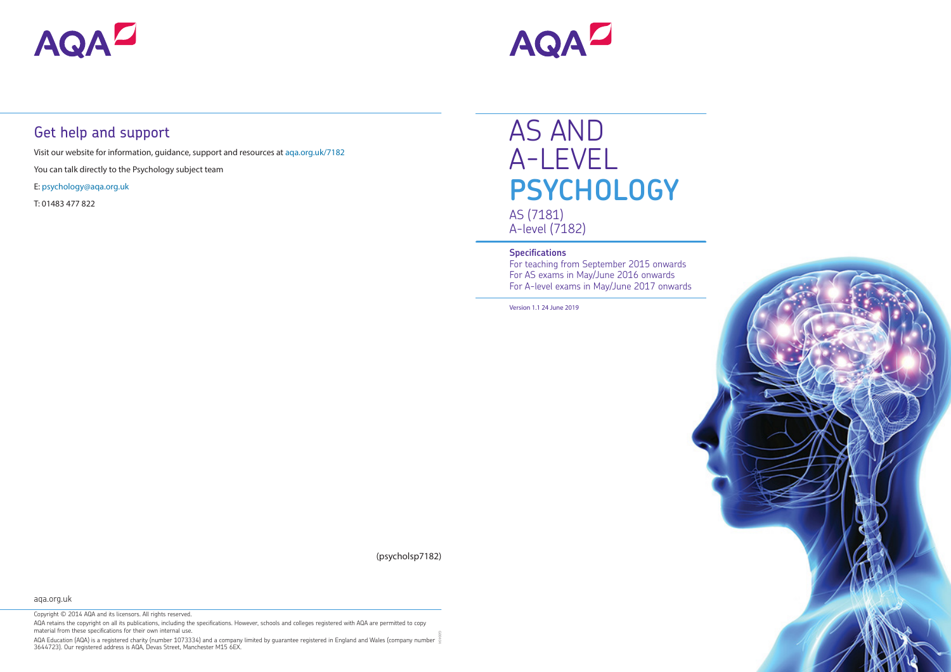

# AS AND A-LEVEL **PSYCHOLOGY**

AS (7181) A-level (7182)

#### **Specifications**

For teaching from September 2015 onwards For AS exams in May/June 2016 onwards For A-level exams in May/June 2017 onwards

Version 1.1 24 June 2019

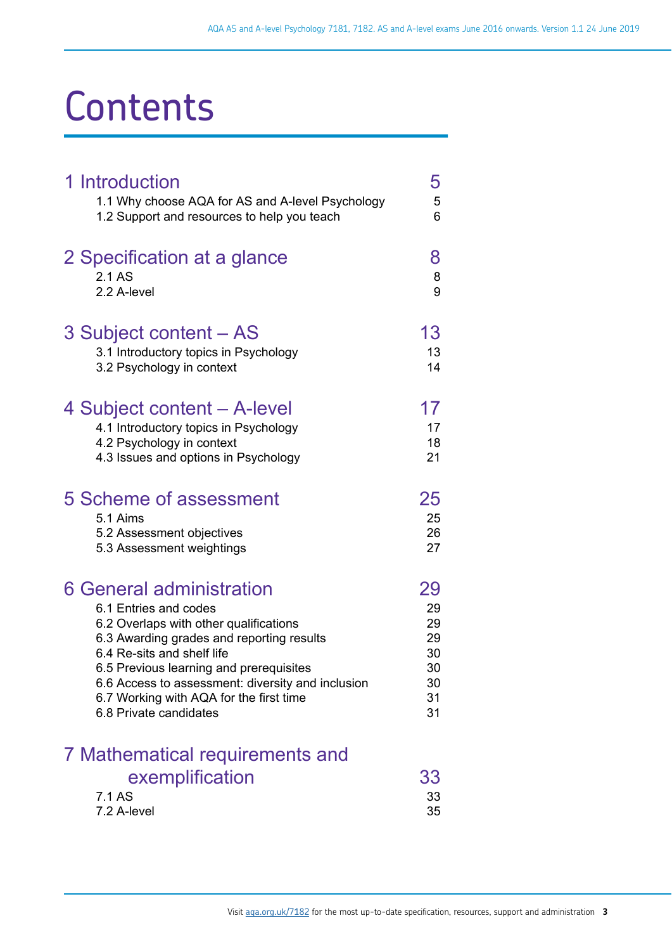# **Contents**

| 1 Introduction<br>1.1 Why choose AQA for AS and A-level Psychology<br>1.2 Support and resources to help you teach                                                                                                                                                                                                                           | 5<br>5<br>6                                        |
|---------------------------------------------------------------------------------------------------------------------------------------------------------------------------------------------------------------------------------------------------------------------------------------------------------------------------------------------|----------------------------------------------------|
| 2 Specification at a glance<br>2.1 AS<br>2.2 A-level                                                                                                                                                                                                                                                                                        | 8<br>8<br>9                                        |
| 3 Subject content – AS<br>3.1 Introductory topics in Psychology<br>3.2 Psychology in context                                                                                                                                                                                                                                                | 13<br>13<br>14                                     |
| 4 Subject content – A-level<br>4.1 Introductory topics in Psychology<br>4.2 Psychology in context<br>4.3 Issues and options in Psychology                                                                                                                                                                                                   | 17<br>17<br>18<br>21                               |
| 5 Scheme of assessment<br>5.1 Aims<br>5.2 Assessment objectives<br>5.3 Assessment weightings                                                                                                                                                                                                                                                | 25<br>25<br>26<br>27                               |
| 6 General administration<br>6.1 Entries and codes<br>6.2 Overlaps with other qualifications<br>6.3 Awarding grades and reporting results<br>6.4 Re-sits and shelf life<br>6.5 Previous learning and prerequisites<br>6.6 Access to assessment: diversity and inclusion<br>6.7 Working with AQA for the first time<br>6.8 Private candidates | 29<br>29<br>29<br>29<br>30<br>30<br>30<br>31<br>31 |
| 7 Mathematical requirements and<br>exemplification<br>7.1 AS<br>7.2 A-level                                                                                                                                                                                                                                                                 | 33<br>33<br>35                                     |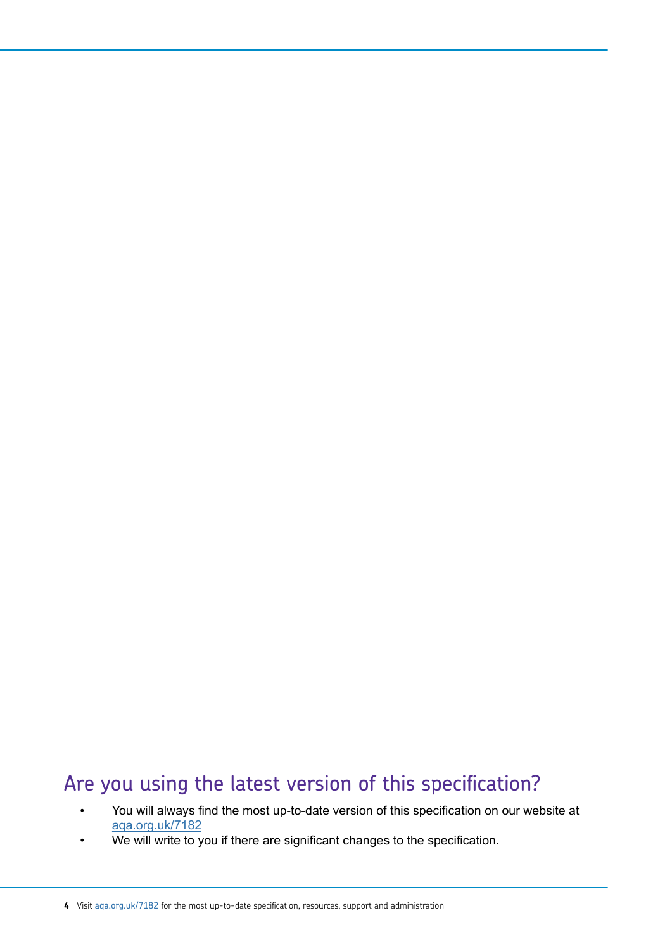# Are you using the latest version of this specification?

- You will always find the most up-to-date version of this specification on our website at [aqa.org.uk/7182](http://aqa.org.uk/7182)
- We will write to you if there are significant changes to the specification.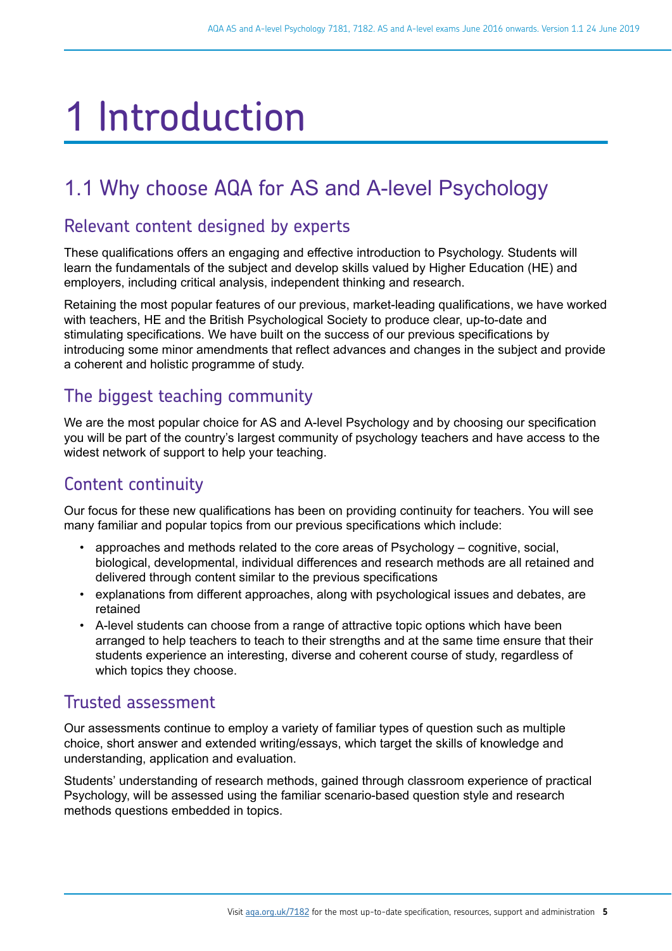# <span id="page-4-0"></span>1 Introduction

# 1.1 Why choose AQA for AS and A-level Psychology

### Relevant content designed by experts

These qualifications offers an engaging and effective introduction to Psychology. Students will learn the fundamentals of the subject and develop skills valued by Higher Education (HE) and employers, including critical analysis, independent thinking and research.

Retaining the most popular features of our previous, market-leading qualifications, we have worked with teachers, HE and the British Psychological Society to produce clear, up-to-date and stimulating specifications. We have built on the success of our previous specifications by introducing some minor amendments that reflect advances and changes in the subject and provide a coherent and holistic programme of study.

### The biggest teaching community

We are the most popular choice for AS and A-level Psychology and by choosing our specification you will be part of the country's largest community of psychology teachers and have access to the widest network of support to help your teaching.

## Content continuity

Our focus for these new qualifications has been on providing continuity for teachers. You will see many familiar and popular topics from our previous specifications which include:

- approaches and methods related to the core areas of Psychology cognitive, social, biological, developmental, individual differences and research methods are all retained and delivered through content similar to the previous specifications
- explanations from different approaches, along with psychological issues and debates, are retained
- A-level students can choose from a range of attractive topic options which have been arranged to help teachers to teach to their strengths and at the same time ensure that their students experience an interesting, diverse and coherent course of study, regardless of which topics they choose.

### Trusted assessment

Our assessments continue to employ a variety of familiar types of question such as multiple choice, short answer and extended writing/essays, which target the skills of knowledge and understanding, application and evaluation.

Students' understanding of research methods, gained through classroom experience of practical Psychology, will be assessed using the familiar scenario-based question style and research methods questions embedded in topics.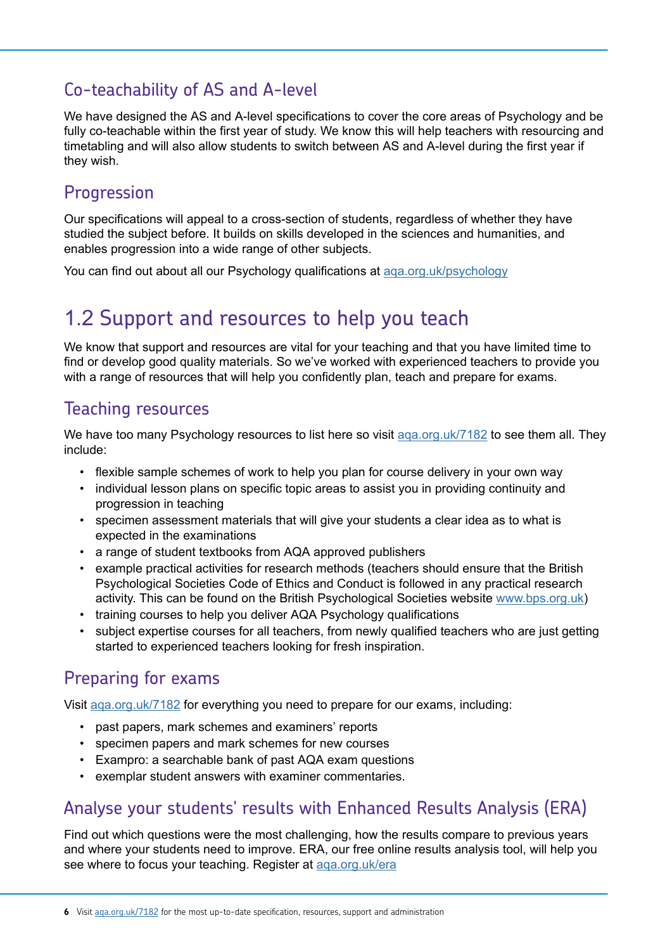## <span id="page-5-0"></span>Co-teachability of AS and A-level

We have designed the AS and A-level specifications to cover the core areas of Psychology and be fully co-teachable within the first year of study. We know this will help teachers with resourcing and timetabling and will also allow students to switch between AS and A-level during the first year if they wish.

## Progression

Our specifications will appeal to a cross-section of students, regardless of whether they have studied the subject before. It builds on skills developed in the sciences and humanities, and enables progression into a wide range of other subjects.

You can find out about all our Psychology qualifications at aga.org.uk/psychology

# 1.2 Support and resources to help you teach

We know that support and resources are vital for your teaching and that you have limited time to find or develop good quality materials. So we've worked with experienced teachers to provide you with a range of resources that will help you confidently plan, teach and prepare for exams.

### Teaching resources

We have too many Psychology resources to list here so visit aga.org.uk/7182 to see them all. They include:

- flexible sample schemes of work to help you plan for course delivery in your own way
- individual lesson plans on specific topic areas to assist you in providing continuity and progression in teaching
- specimen assessment materials that will give your students a clear idea as to what is expected in the examinations
- a range of student textbooks from AQA approved publishers
- example practical activities for research methods (teachers should ensure that the British Psychological Societies Code of Ethics and Conduct is followed in any practical research activity. This can be found on the British Psychological Societies website [www.bps.org.uk](http://www.bps.org.uk))
- training courses to help you deliver AQA Psychology qualifications
- subject expertise courses for all teachers, from newly qualified teachers who are just getting started to experienced teachers looking for fresh inspiration.

## Preparing for exams

Visit [aqa.org.uk/7182](http://www.aqa.org.uk/7182) for everything you need to prepare for our exams, including:

- past papers, mark schemes and examiners' reports
- specimen papers and mark schemes for new courses
- Exampro: a searchable bank of past AQA exam questions
- exemplar student answers with examiner commentaries.

## Analyse your students' results with Enhanced Results Analysis (ERA)

Find out which questions were the most challenging, how the results compare to previous years and where your students need to improve. ERA, our free online results analysis tool, will help you see where to focus your teaching. Register at aga.org.uk/era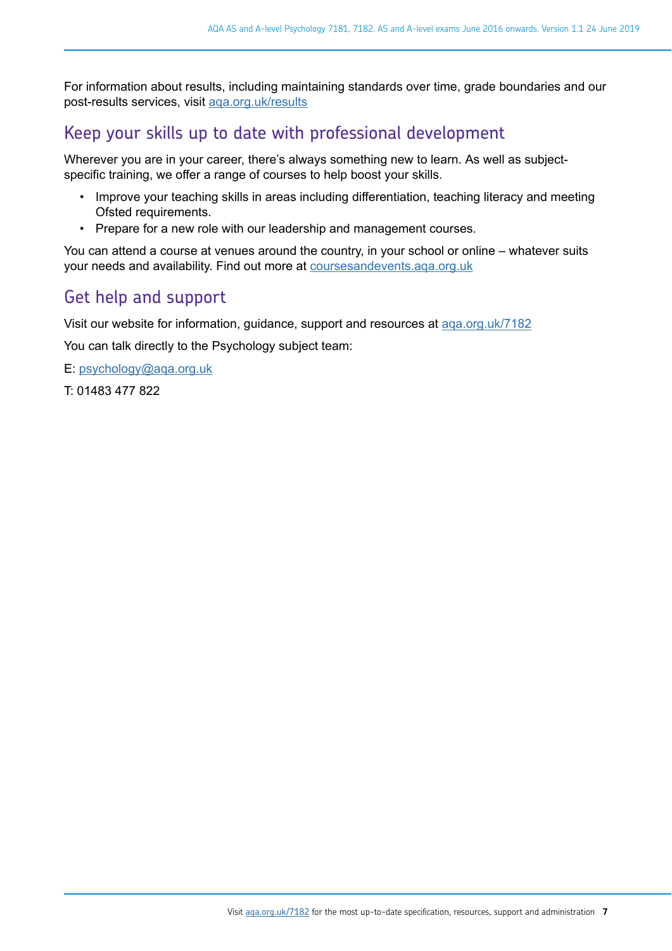For information about results, including maintaining standards over time, grade boundaries and our post-results services, visit [aqa.org.uk/results](http://www.aqa.org.uk/exams-administration/results-days)

#### Keep your skills up to date with professional development

Wherever you are in your career, there's always something new to learn. As well as subjectspecific training, we offer a range of courses to help boost your skills.

- Improve your teaching skills in areas including differentiation, teaching literacy and meeting Ofsted requirements.
- Prepare for a new role with our leadership and management courses.

You can attend a course at venues around the country, in your school or online – whatever suits your needs and availability. Find out more at [coursesandevents.aqa.org.uk](https://coursesandevents.aqa.org.uk/training/Search)

### Get help and support

Visit our website for information, guidance, support and resources at [aqa.org.uk/7182](http://www.aqa.org.uk/7182)

You can talk directly to the Psychology subject team:

E: [psychology@aqa.org.uk](mailto:psychology@aqa.org.uk)

T: 01483 477 822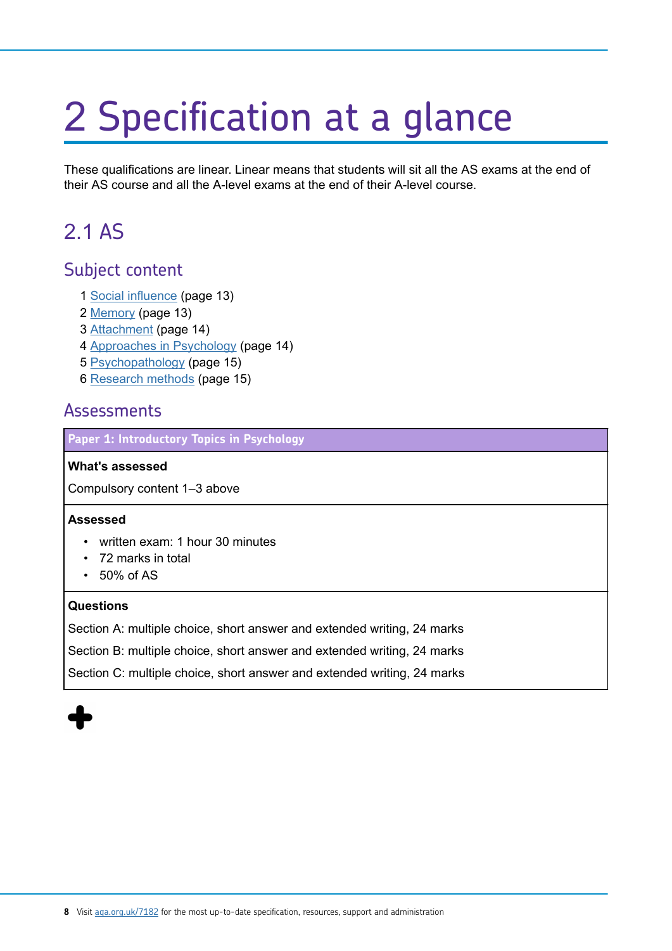# <span id="page-7-0"></span>2 Specification at a glance

These qualifications are linear. Linear means that students will sit all the AS exams at the end of their AS course and all the A-level exams at the end of their A-level course.

# 2.1 AS

### Subject content

- 1 [Social influence](#page-12-0) (page 13)
- 2 [Memory](#page-12-0) (page 13)
- 3 [Attachment](#page-13-0) (page 14)
- 4 [Approaches in Psychology](#page-13-0) (page 14)
- 5 [Psychopathology](#page-14-0) (page 15)
- 6 [Research methods](#page-14-0) (page 15)

### **Assessments**

**Paper 1: Introductory Topics in Psychology**

#### **What's assessed**

Compulsory content 1–3 above

#### **Assessed**

- written exam: 1 hour 30 minutes
- 72 marks in total
- 50% of AS

#### **Questions**

Section A: multiple choice, short answer and extended writing, 24 marks

Section B: multiple choice, short answer and extended writing, 24 marks

Section C: multiple choice, short answer and extended writing, 24 marks

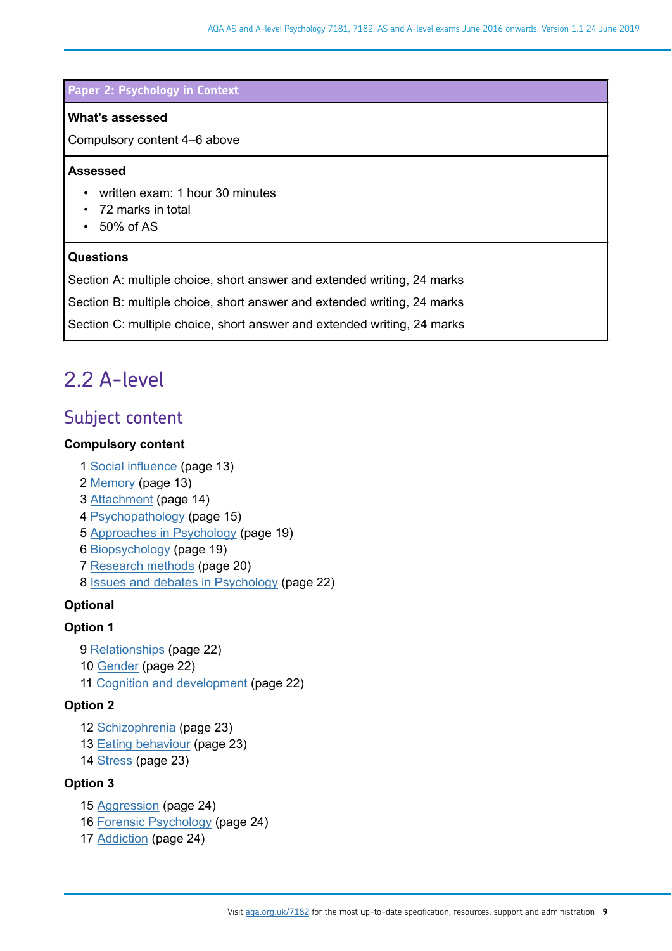#### <span id="page-8-0"></span>**Paper 2: Psychology in Context**

#### **What's assessed**

Compulsory content 4–6 above

#### **Assessed**

- written exam: 1 hour 30 minutes
- 72 marks in total
- 50% of AS

#### **Questions**

Section A: multiple choice, short answer and extended writing, 24 marks

Section B: multiple choice, short answer and extended writing, 24 marks

Section C: multiple choice, short answer and extended writing, 24 marks

# 2.2 A-level

#### Subject content

#### **Compulsory content**

- 1 [Social influence](#page-12-0) (page 13)
- 2 [Memory](#page-12-0) (page 13)
- 3 [Attachment](#page-13-0) (page 14)
- 4 [Psychopathology](#page-14-0) (page 15)
- 5 [Approaches in Psychology](#page-18-0) (page 19)
- 6 [Biopsychology](#page-18-0) (page 19)
- 7 [Research methods](#page-19-0) (page 20)
- 8 [Issues and debates in Psychology](#page-21-0) (page 22)

#### **Optional**

#### **Option 1**

- 9 [Relationships](#page-21-0) (page 22)
- 10 [Gender](#page-21-0) (page 22)
- 11 [Cognition and development](#page-21-0) (page 22)

#### **Option 2**

- 12 [Schizophrenia](#page-22-0) (page 23)
- 13 [Eating behaviour](#page-22-0) (page 23)
- 14 [Stress](#page-22-0) (page 23)

#### **Option 3**

- 15 [Aggression](#page-23-0) (page 24)
- 16 [Forensic Psychology](#page-23-0) (page 24)
- 17 [Addiction](#page-23-0) (page 24)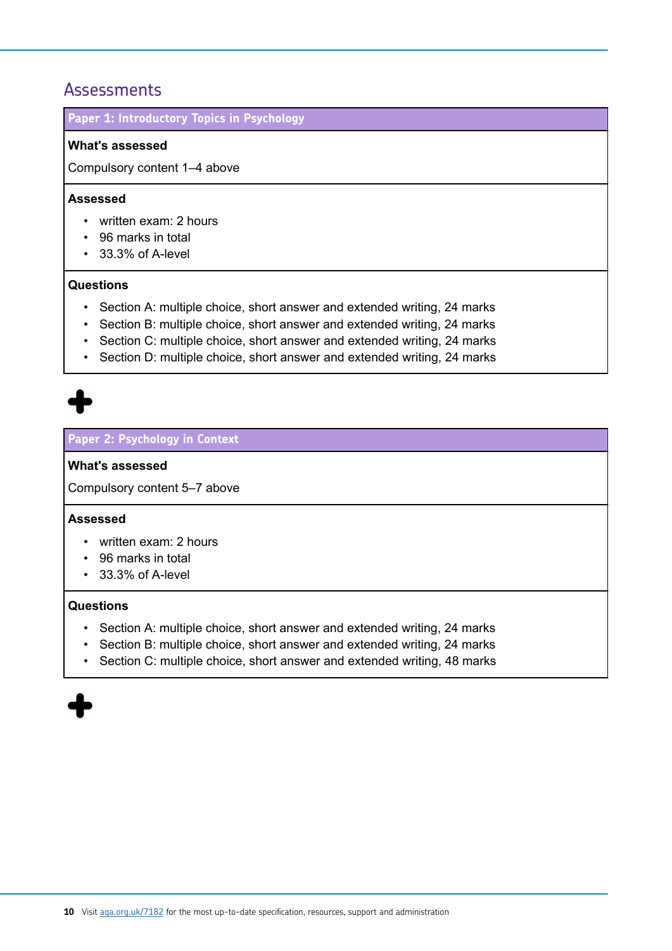### **Assessments**

#### **Paper 1: Introductory Topics in Psychology**

#### **What's assessed**

Compulsory content 1–4 above

#### **Assessed**

- written exam: 2 hours
- 96 marks in total
- 33.3% of A-level

#### **Questions**

- Section A: multiple choice, short answer and extended writing, 24 marks
- Section B: multiple choice, short answer and extended writing, 24 marks
- Section C: multiple choice, short answer and extended writing, 24 marks
- Section D: multiple choice, short answer and extended writing, 24 marks

#### **Paper 2: Psychology in Context**

#### **What's assessed**

Compulsory content 5–7 above

#### **Assessed**

- written exam: 2 hours
- 96 marks in total
- 33.3% of A-level

#### **Questions**

- Section A: multiple choice, short answer and extended writing, 24 marks
- Section B: multiple choice, short answer and extended writing, 24 marks
- Section C: multiple choice, short answer and extended writing, 48 marks

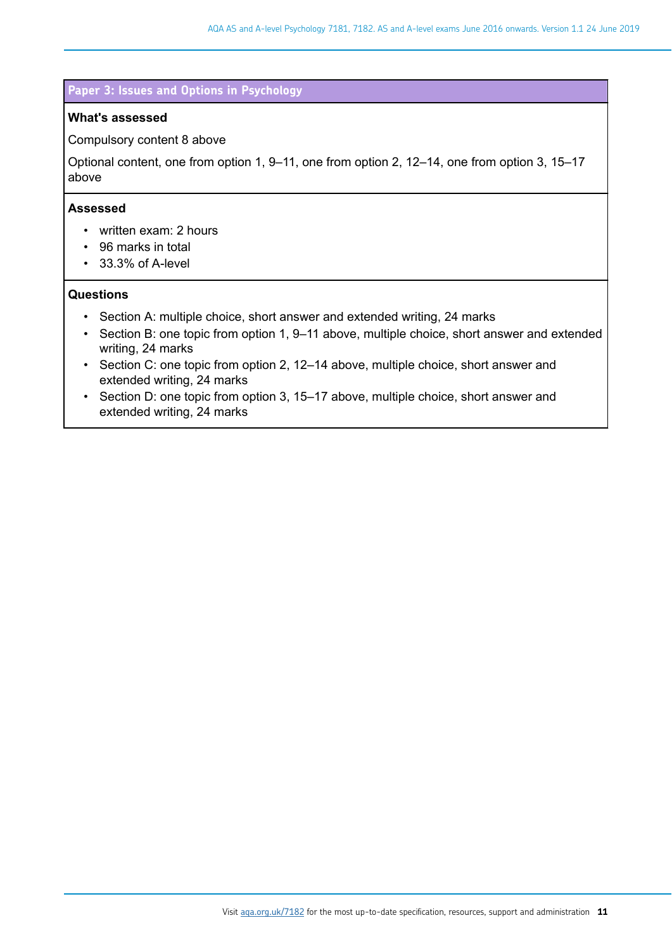#### **Paper 3: Issues and Options in Psychology**

#### **What's assessed**

Compulsory content 8 above

Optional content, one from option 1, 9–11, one from option 2, 12–14, one from option 3, 15–17 above

#### **Assessed**

- written exam: 2 hours
- 96 marks in total
- 33.3% of A-level

#### **Questions**

- Section A: multiple choice, short answer and extended writing, 24 marks
- Section B: one topic from option 1, 9–11 above, multiple choice, short answer and extended writing, 24 marks
- Section C: one topic from option 2, 12–14 above, multiple choice, short answer and extended writing, 24 marks
- Section D: one topic from option 3, 15–17 above, multiple choice, short answer and extended writing, 24 marks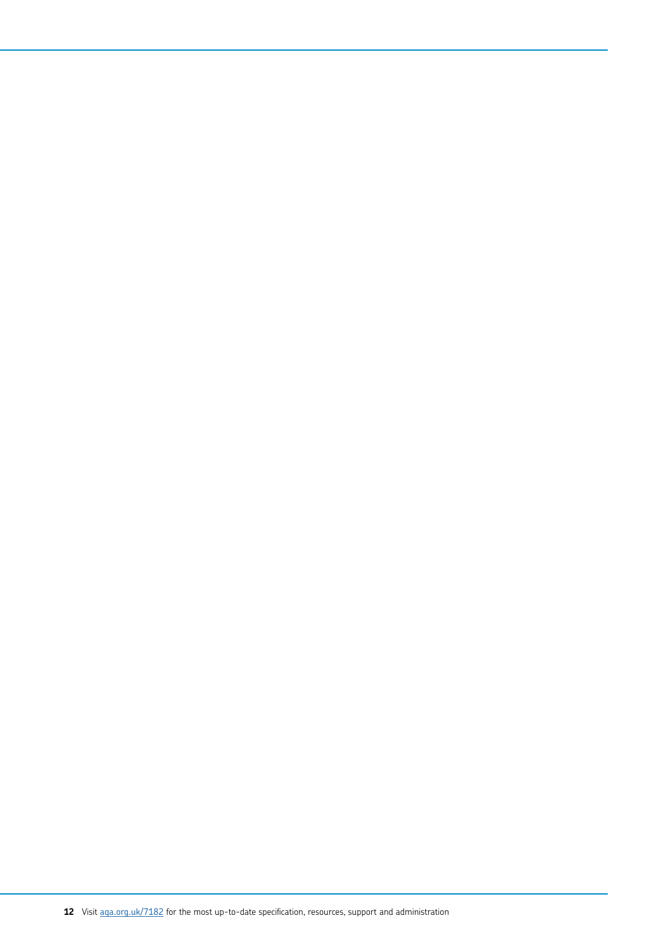12 Visit aga.org.uk/7182 for the most up-to-date specification, resources, support and administration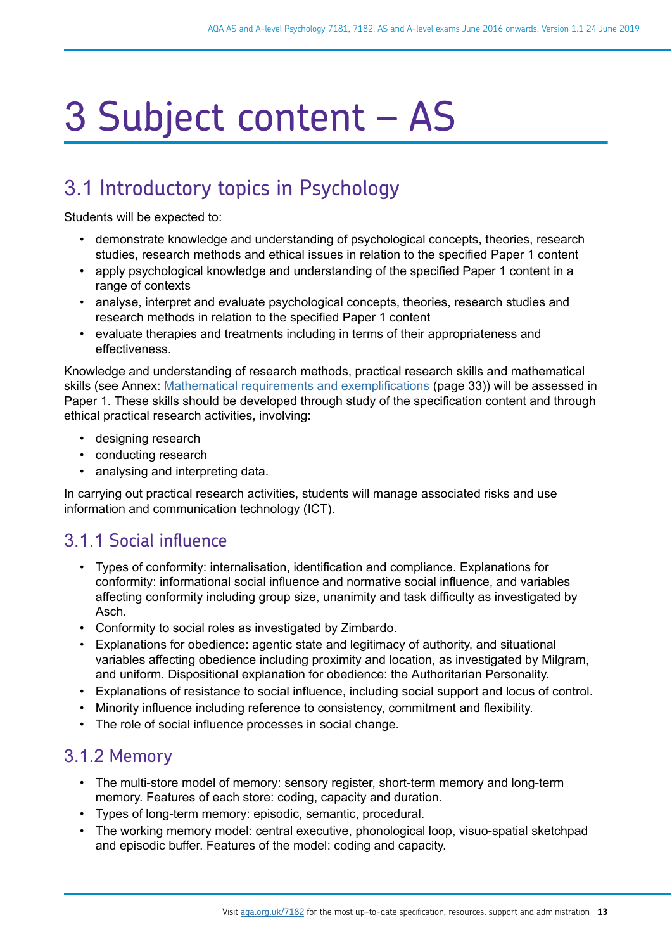# <span id="page-12-0"></span>3 Subject content – AS

# 3.1 Introductory topics in Psychology

Students will be expected to:

- demonstrate knowledge and understanding of psychological concepts, theories, research studies, research methods and ethical issues in relation to the specified Paper 1 content
- apply psychological knowledge and understanding of the specified Paper 1 content in a range of contexts
- analyse, interpret and evaluate psychological concepts, theories, research studies and research methods in relation to the specified Paper 1 content
- evaluate therapies and treatments including in terms of their appropriateness and effectiveness.

Knowledge and understanding of research methods, practical research skills and mathematical skills (see Annex: [Mathematical requirements and exemplifications](#page-32-0) (page 33)) will be assessed in Paper 1. These skills should be developed through study of the specification content and through ethical practical research activities, involving:

- designing research
- conducting research
- analysing and interpreting data.

In carrying out practical research activities, students will manage associated risks and use information and communication technology (ICT).

## 3.1.1 Social influence

- Types of conformity: internalisation, identification and compliance. Explanations for conformity: informational social influence and normative social influence, and variables affecting conformity including group size, unanimity and task difficulty as investigated by Asch.
- Conformity to social roles as investigated by Zimbardo.
- Explanations for obedience: agentic state and legitimacy of authority, and situational variables affecting obedience including proximity and location, as investigated by Milgram, and uniform. Dispositional explanation for obedience: the Authoritarian Personality.
- Explanations of resistance to social influence, including social support and locus of control.
- Minority influence including reference to consistency, commitment and flexibility.
- The role of social influence processes in social change.

### 3.1.2 Memory

- The multi-store model of memory: sensory register, short-term memory and long-term memory. Features of each store: coding, capacity and duration.
- Types of long-term memory: episodic, semantic, procedural.
- The working memory model: central executive, phonological loop, visuo-spatial sketchpad and episodic buffer. Features of the model: coding and capacity.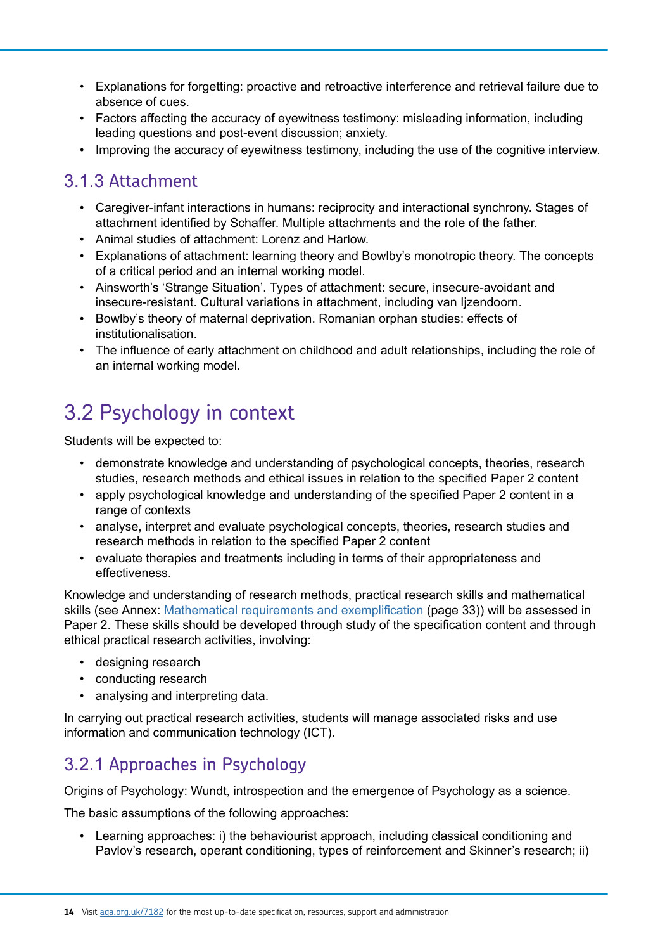- <span id="page-13-0"></span>• Explanations for forgetting: proactive and retroactive interference and retrieval failure due to absence of cues.
- Factors affecting the accuracy of eyewitness testimony: misleading information, including leading questions and post-event discussion; anxiety.
- Improving the accuracy of eyewitness testimony, including the use of the cognitive interview.

## 3.1.3 Attachment

- Caregiver-infant interactions in humans: reciprocity and interactional synchrony. Stages of attachment identified by Schaffer. Multiple attachments and the role of the father.
- Animal studies of attachment: Lorenz and Harlow.
- Explanations of attachment: learning theory and Bowlby's monotropic theory. The concepts of a critical period and an internal working model.
- Ainsworth's 'Strange Situation'. Types of attachment: secure, insecure-avoidant and insecure-resistant. Cultural variations in attachment, including van Ijzendoorn.
- Bowlby's theory of maternal deprivation. Romanian orphan studies: effects of institutionalisation.
- The influence of early attachment on childhood and adult relationships, including the role of an internal working model.

# 3.2 Psychology in context

Students will be expected to:

- demonstrate knowledge and understanding of psychological concepts, theories, research studies, research methods and ethical issues in relation to the specified Paper 2 content
- apply psychological knowledge and understanding of the specified Paper 2 content in a range of contexts
- analyse, interpret and evaluate psychological concepts, theories, research studies and research methods in relation to the specified Paper 2 content
- evaluate therapies and treatments including in terms of their appropriateness and effectiveness.

Knowledge and understanding of research methods, practical research skills and mathematical skills (see Annex: [Mathematical requirements and exemplification](#page-32-0) (page 33)) will be assessed in Paper 2. These skills should be developed through study of the specification content and through ethical practical research activities, involving:

- designing research
- conducting research
- analysing and interpreting data.

In carrying out practical research activities, students will manage associated risks and use information and communication technology (ICT).

## 3.2.1 Approaches in Psychology

Origins of Psychology: Wundt, introspection and the emergence of Psychology as a science.

The basic assumptions of the following approaches:

• Learning approaches: i) the behaviourist approach, including classical conditioning and Pavlov's research, operant conditioning, types of reinforcement and Skinner's research; ii)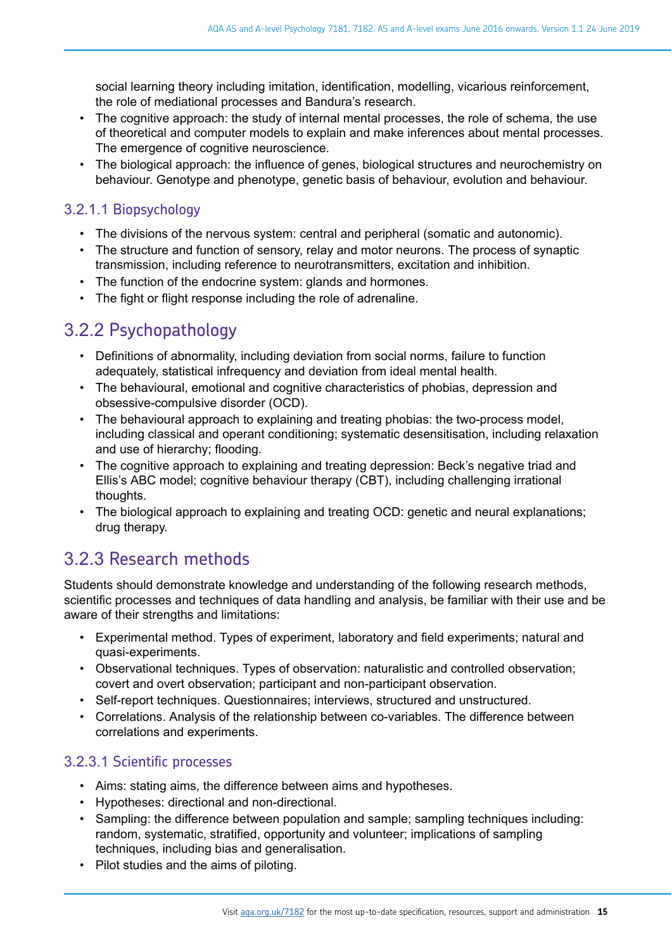<span id="page-14-0"></span>social learning theory including imitation, identification, modelling, vicarious reinforcement, the role of mediational processes and Bandura's research.

- The cognitive approach: the study of internal mental processes, the role of schema, the use of theoretical and computer models to explain and make inferences about mental processes. The emergence of cognitive neuroscience.
- The biological approach: the influence of genes, biological structures and neurochemistry on behaviour. Genotype and phenotype, genetic basis of behaviour, evolution and behaviour.

#### 3.2.1.1 Biopsychology

- The divisions of the nervous system: central and peripheral (somatic and autonomic).
- The structure and function of sensory, relay and motor neurons. The process of synaptic transmission, including reference to neurotransmitters, excitation and inhibition.
- The function of the endocrine system: glands and hormones.
- The fight or flight response including the role of adrenaline.

#### 3.2.2 Psychopathology

- Definitions of abnormality, including deviation from social norms, failure to function adequately, statistical infrequency and deviation from ideal mental health.
- The behavioural, emotional and cognitive characteristics of phobias, depression and obsessive-compulsive disorder (OCD).
- The behavioural approach to explaining and treating phobias: the two-process model, including classical and operant conditioning; systematic desensitisation, including relaxation and use of hierarchy; flooding.
- The cognitive approach to explaining and treating depression: Beck's negative triad and Ellis's ABC model; cognitive behaviour therapy (CBT), including challenging irrational thoughts.
- The biological approach to explaining and treating OCD: genetic and neural explanations; drug therapy.

## 3.2.3 Research methods

Students should demonstrate knowledge and understanding of the following research methods, scientific processes and techniques of data handling and analysis, be familiar with their use and be aware of their strengths and limitations:

- Experimental method. Types of experiment, laboratory and field experiments; natural and quasi-experiments.
- Observational techniques. Types of observation: naturalistic and controlled observation; covert and overt observation; participant and non-participant observation.
- Self-report techniques. Questionnaires; interviews, structured and unstructured.
- Correlations. Analysis of the relationship between co-variables. The difference between correlations and experiments.

#### 3.2.3.1 Scientific processes

- Aims: stating aims, the difference between aims and hypotheses.
- Hypotheses: directional and non-directional.
- Sampling: the difference between population and sample; sampling techniques including: random, systematic, stratified, opportunity and volunteer; implications of sampling techniques, including bias and generalisation.
- Pilot studies and the aims of piloting.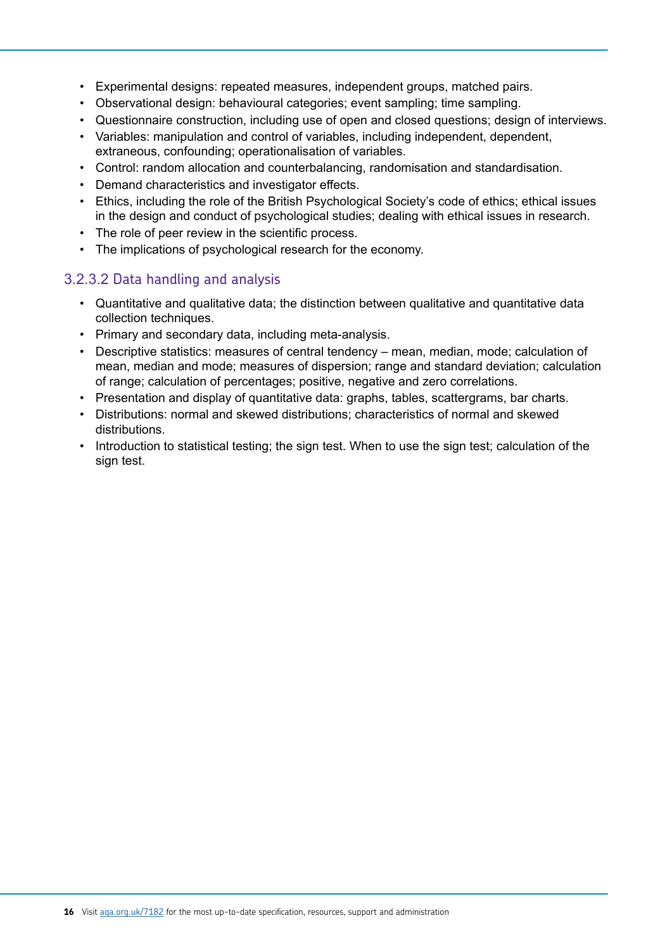- Experimental designs: repeated measures, independent groups, matched pairs.
- Observational design: behavioural categories; event sampling; time sampling.
- Questionnaire construction, including use of open and closed questions; design of interviews.
- Variables: manipulation and control of variables, including independent, dependent, extraneous, confounding; operationalisation of variables.
- Control: random allocation and counterbalancing, randomisation and standardisation.
- Demand characteristics and investigator effects.
- Ethics, including the role of the British Psychological Society's code of ethics; ethical issues in the design and conduct of psychological studies; dealing with ethical issues in research.
- The role of peer review in the scientific process.
- The implications of psychological research for the economy.

#### 3.2.3.2 Data handling and analysis

- Quantitative and qualitative data; the distinction between qualitative and quantitative data collection techniques.
- Primary and secondary data, including meta-analysis.
- Descriptive statistics: measures of central tendency mean, median, mode; calculation of mean, median and mode; measures of dispersion; range and standard deviation; calculation of range; calculation of percentages; positive, negative and zero correlations.
- Presentation and display of quantitative data: graphs, tables, scattergrams, bar charts.
- Distributions: normal and skewed distributions; characteristics of normal and skewed distributions.
- Introduction to statistical testing; the sign test. When to use the sign test; calculation of the sign test.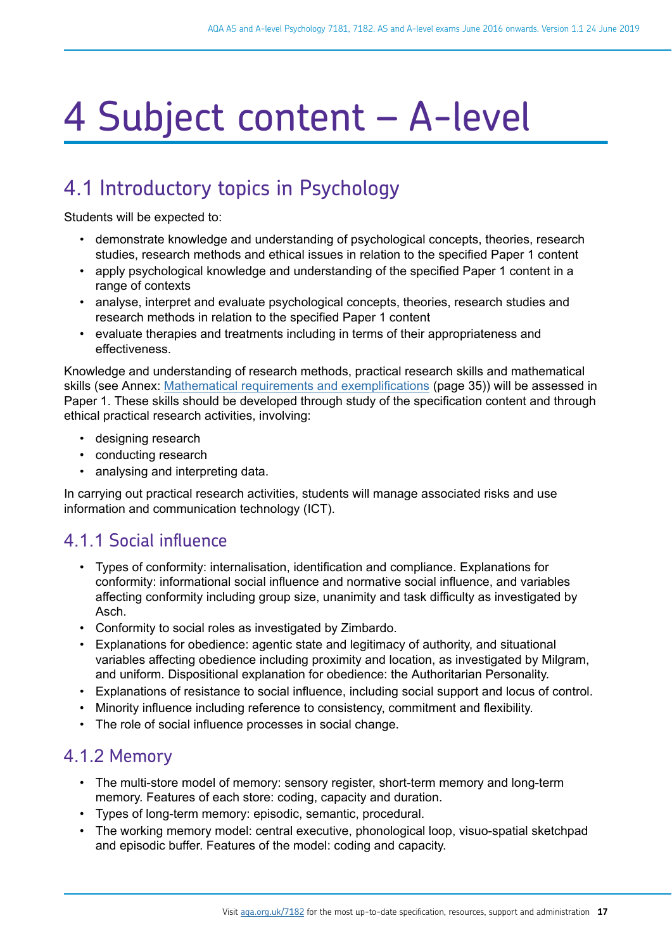# <span id="page-16-0"></span>4 Subject content – A-level

# 4.1 Introductory topics in Psychology

Students will be expected to:

- demonstrate knowledge and understanding of psychological concepts, theories, research studies, research methods and ethical issues in relation to the specified Paper 1 content
- apply psychological knowledge and understanding of the specified Paper 1 content in a range of contexts
- analyse, interpret and evaluate psychological concepts, theories, research studies and research methods in relation to the specified Paper 1 content
- evaluate therapies and treatments including in terms of their appropriateness and effectiveness.

Knowledge and understanding of research methods, practical research skills and mathematical skills (see Annex: [Mathematical requirements and exemplifications](#page-34-0) (page 35)) will be assessed in Paper 1. These skills should be developed through study of the specification content and through ethical practical research activities, involving:

- designing research
- conducting research
- analysing and interpreting data.

In carrying out practical research activities, students will manage associated risks and use information and communication technology (ICT).

## 4.1.1 Social influence

- Types of conformity: internalisation, identification and compliance. Explanations for conformity: informational social influence and normative social influence, and variables affecting conformity including group size, unanimity and task difficulty as investigated by Asch.
- Conformity to social roles as investigated by Zimbardo.
- Explanations for obedience: agentic state and legitimacy of authority, and situational variables affecting obedience including proximity and location, as investigated by Milgram, and uniform. Dispositional explanation for obedience: the Authoritarian Personality.
- Explanations of resistance to social influence, including social support and locus of control.
- Minority influence including reference to consistency, commitment and flexibility.
- The role of social influence processes in social change.

### 4.1.2 Memory

- The multi-store model of memory: sensory register, short-term memory and long-term memory. Features of each store: coding, capacity and duration.
- Types of long-term memory: episodic, semantic, procedural.
- The working memory model: central executive, phonological loop, visuo-spatial sketchpad and episodic buffer. Features of the model: coding and capacity.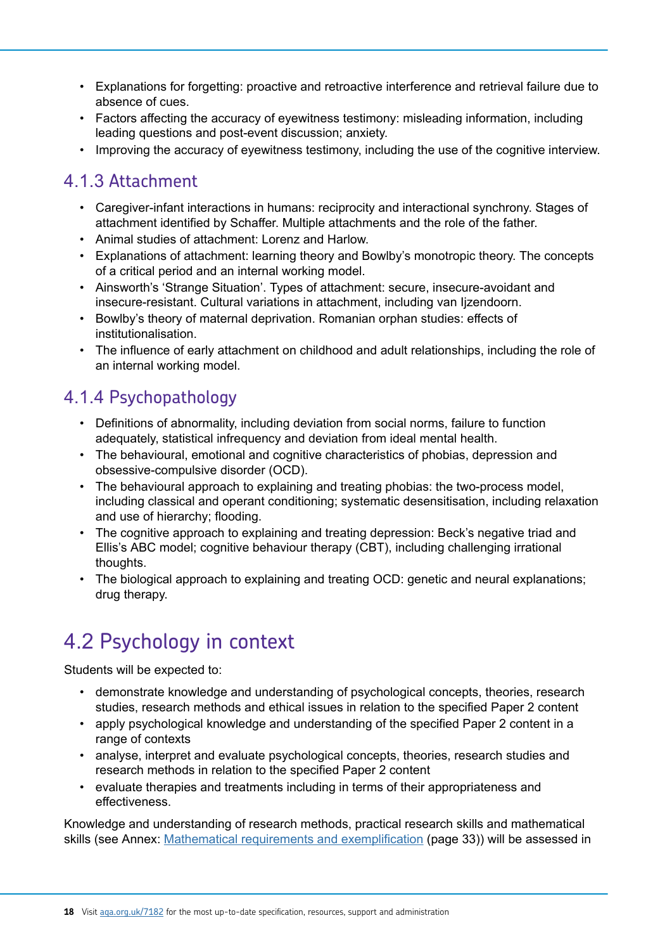- <span id="page-17-0"></span>• Explanations for forgetting: proactive and retroactive interference and retrieval failure due to absence of cues.
- Factors affecting the accuracy of eyewitness testimony: misleading information, including leading questions and post-event discussion; anxiety.
- Improving the accuracy of eyewitness testimony, including the use of the cognitive interview.

### 4.1.3 Attachment

- Caregiver-infant interactions in humans: reciprocity and interactional synchrony. Stages of attachment identified by Schaffer. Multiple attachments and the role of the father.
- Animal studies of attachment: Lorenz and Harlow.
- Explanations of attachment: learning theory and Bowlby's monotropic theory. The concepts of a critical period and an internal working model.
- Ainsworth's 'Strange Situation'. Types of attachment: secure, insecure-avoidant and insecure-resistant. Cultural variations in attachment, including van Ijzendoorn.
- Bowlby's theory of maternal deprivation. Romanian orphan studies: effects of institutionalisation.
- The influence of early attachment on childhood and adult relationships, including the role of an internal working model.

## 4.1.4 Psychopathology

- Definitions of abnormality, including deviation from social norms, failure to function adequately, statistical infrequency and deviation from ideal mental health.
- The behavioural, emotional and cognitive characteristics of phobias, depression and obsessive-compulsive disorder (OCD).
- The behavioural approach to explaining and treating phobias: the two-process model, including classical and operant conditioning; systematic desensitisation, including relaxation and use of hierarchy; flooding.
- The cognitive approach to explaining and treating depression: Beck's negative triad and Ellis's ABC model; cognitive behaviour therapy (CBT), including challenging irrational thoughts.
- The biological approach to explaining and treating OCD: genetic and neural explanations; drug therapy.

# 4.2 Psychology in context

Students will be expected to:

- demonstrate knowledge and understanding of psychological concepts, theories, research studies, research methods and ethical issues in relation to the specified Paper 2 content
- apply psychological knowledge and understanding of the specified Paper 2 content in a range of contexts
- analyse, interpret and evaluate psychological concepts, theories, research studies and research methods in relation to the specified Paper 2 content
- evaluate therapies and treatments including in terms of their appropriateness and effectiveness.

Knowledge and understanding of research methods, practical research skills and mathematical skills (see Annex: [Mathematical requirements and exemplification](#page-32-0) (page 33)) will be assessed in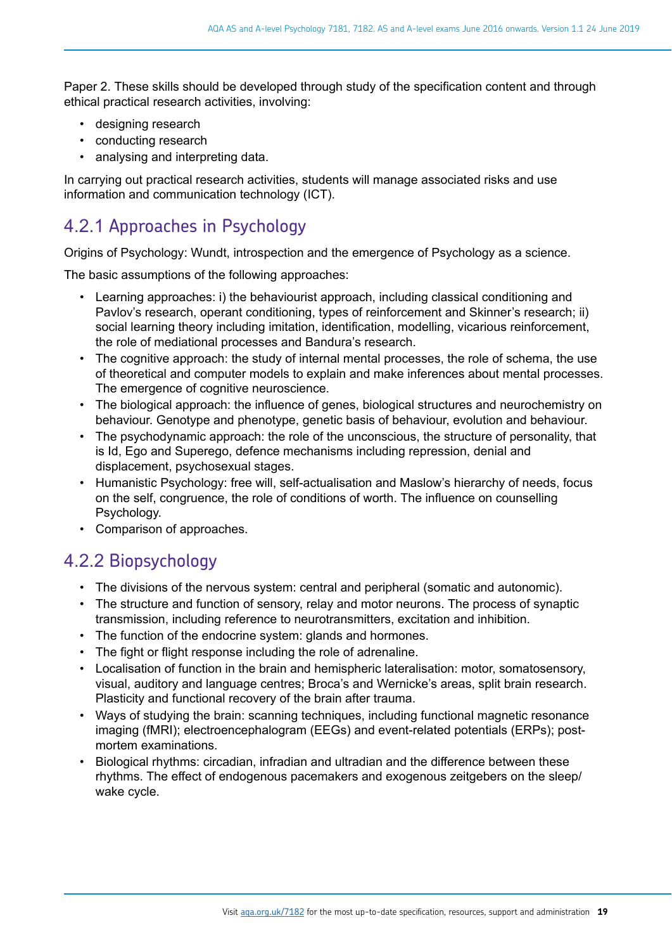<span id="page-18-0"></span>Paper 2. These skills should be developed through study of the specification content and through ethical practical research activities, involving:

- designing research
- conducting research
- analysing and interpreting data.

In carrying out practical research activities, students will manage associated risks and use information and communication technology (ICT).

## 4.2.1 Approaches in Psychology

Origins of Psychology: Wundt, introspection and the emergence of Psychology as a science.

The basic assumptions of the following approaches:

- Learning approaches: i) the behaviourist approach, including classical conditioning and Pavlov's research, operant conditioning, types of reinforcement and Skinner's research; ii) social learning theory including imitation, identification, modelling, vicarious reinforcement, the role of mediational processes and Bandura's research.
- The cognitive approach: the study of internal mental processes, the role of schema, the use of theoretical and computer models to explain and make inferences about mental processes. The emergence of cognitive neuroscience.
- The biological approach: the influence of genes, biological structures and neurochemistry on behaviour. Genotype and phenotype, genetic basis of behaviour, evolution and behaviour.
- The psychodynamic approach: the role of the unconscious, the structure of personality, that is Id, Ego and Superego, defence mechanisms including repression, denial and displacement, psychosexual stages.
- Humanistic Psychology: free will, self-actualisation and Maslow's hierarchy of needs, focus on the self, congruence, the role of conditions of worth. The influence on counselling Psychology.
- Comparison of approaches.

## 4.2.2 Biopsychology

- The divisions of the nervous system: central and peripheral (somatic and autonomic).
- The structure and function of sensory, relay and motor neurons. The process of synaptic transmission, including reference to neurotransmitters, excitation and inhibition.
- The function of the endocrine system: glands and hormones.
- The fight or flight response including the role of adrenaline.
- Localisation of function in the brain and hemispheric lateralisation: motor, somatosensory, visual, auditory and language centres; Broca's and Wernicke's areas, split brain research. Plasticity and functional recovery of the brain after trauma.
- Ways of studying the brain: scanning techniques, including functional magnetic resonance imaging (fMRI); electroencephalogram (EEGs) and event-related potentials (ERPs); postmortem examinations.
- Biological rhythms: circadian, infradian and ultradian and the difference between these rhythms. The effect of endogenous pacemakers and exogenous zeitgebers on the sleep/ wake cycle.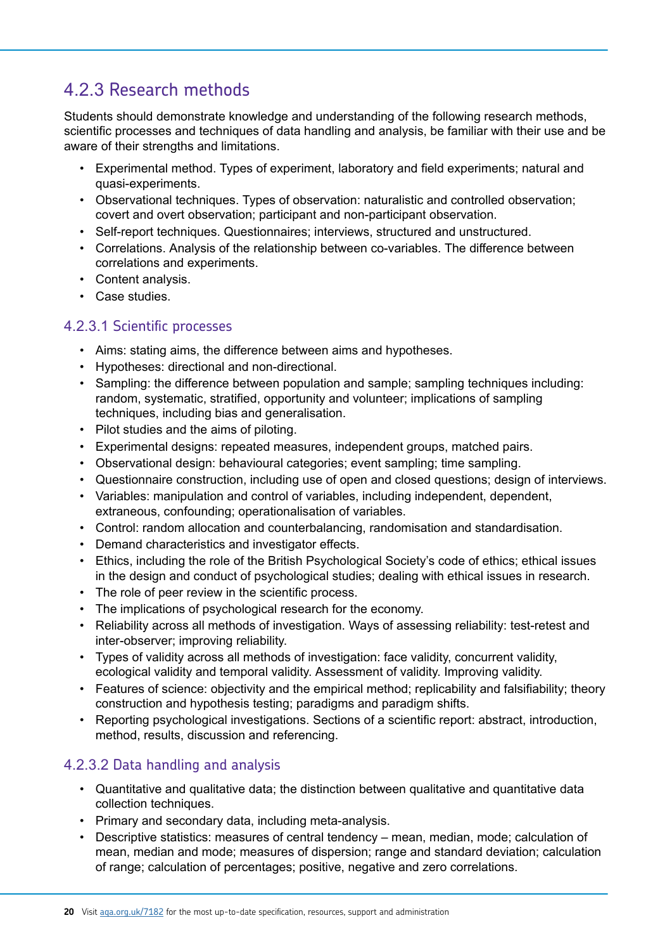## <span id="page-19-0"></span>4.2.3 Research methods

Students should demonstrate knowledge and understanding of the following research methods, scientific processes and techniques of data handling and analysis, be familiar with their use and be aware of their strengths and limitations.

- Experimental method. Types of experiment, laboratory and field experiments; natural and quasi-experiments.
- Observational techniques. Types of observation: naturalistic and controlled observation; covert and overt observation; participant and non-participant observation.
- Self-report techniques. Questionnaires; interviews, structured and unstructured.
- Correlations. Analysis of the relationship between co-variables. The difference between correlations and experiments.
- Content analysis.
- Case studies.

#### 4.2.3.1 Scientific processes

- Aims: stating aims, the difference between aims and hypotheses.
- Hypotheses: directional and non-directional.
- Sampling: the difference between population and sample; sampling techniques including: random, systematic, stratified, opportunity and volunteer; implications of sampling techniques, including bias and generalisation.
- Pilot studies and the aims of piloting.
- Experimental designs: repeated measures, independent groups, matched pairs.
- Observational design: behavioural categories; event sampling; time sampling.
- Questionnaire construction, including use of open and closed questions; design of interviews.
- Variables: manipulation and control of variables, including independent, dependent, extraneous, confounding; operationalisation of variables.
- Control: random allocation and counterbalancing, randomisation and standardisation.
- Demand characteristics and investigator effects.
- Ethics, including the role of the British Psychological Society's code of ethics; ethical issues in the design and conduct of psychological studies; dealing with ethical issues in research.
- The role of peer review in the scientific process.
- The implications of psychological research for the economy.
- Reliability across all methods of investigation. Ways of assessing reliability: test-retest and inter-observer; improving reliability.
- Types of validity across all methods of investigation: face validity, concurrent validity, ecological validity and temporal validity. Assessment of validity. Improving validity.
- Features of science: objectivity and the empirical method; replicability and falsifiability; theory construction and hypothesis testing; paradigms and paradigm shifts.
- Reporting psychological investigations. Sections of a scientific report: abstract, introduction, method, results, discussion and referencing.

#### 4.2.3.2 Data handling and analysis

- Quantitative and qualitative data; the distinction between qualitative and quantitative data collection techniques.
- Primary and secondary data, including meta-analysis.
- Descriptive statistics: measures of central tendency mean, median, mode; calculation of mean, median and mode; measures of dispersion; range and standard deviation; calculation of range; calculation of percentages; positive, negative and zero correlations.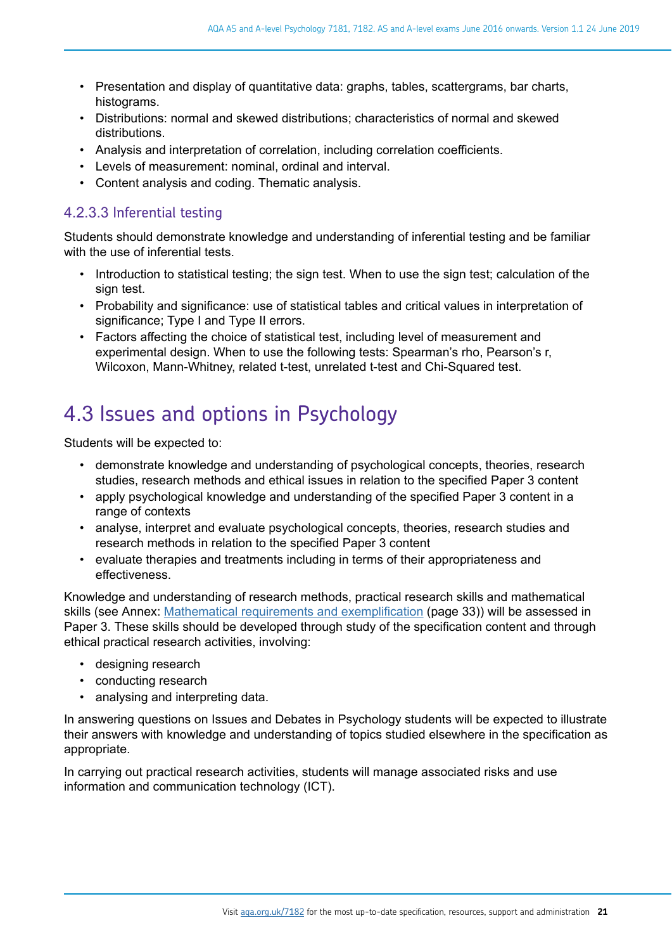- <span id="page-20-0"></span>• Presentation and display of quantitative data: graphs, tables, scattergrams, bar charts, histograms.
- Distributions: normal and skewed distributions; characteristics of normal and skewed distributions.
- Analysis and interpretation of correlation, including correlation coefficients.
- Levels of measurement: nominal, ordinal and interval.
- Content analysis and coding. Thematic analysis.

#### 4.2.3.3 Inferential testing

Students should demonstrate knowledge and understanding of inferential testing and be familiar with the use of inferential tests.

- Introduction to statistical testing; the sign test. When to use the sign test; calculation of the sign test.
- Probability and significance: use of statistical tables and critical values in interpretation of significance; Type I and Type II errors.
- Factors affecting the choice of statistical test, including level of measurement and experimental design. When to use the following tests: Spearman's rho, Pearson's r, Wilcoxon, Mann-Whitney, related t-test, unrelated t-test and Chi-Squared test.

# 4.3 Issues and options in Psychology

Students will be expected to:

- demonstrate knowledge and understanding of psychological concepts, theories, research studies, research methods and ethical issues in relation to the specified Paper 3 content
- apply psychological knowledge and understanding of the specified Paper 3 content in a range of contexts
- analyse, interpret and evaluate psychological concepts, theories, research studies and research methods in relation to the specified Paper 3 content
- evaluate therapies and treatments including in terms of their appropriateness and effectiveness.

Knowledge and understanding of research methods, practical research skills and mathematical skills (see Annex: [Mathematical requirements and exemplification](#page-32-0) (page 33)) will be assessed in Paper 3. These skills should be developed through study of the specification content and through ethical practical research activities, involving:

- designing research
- conducting research
- analysing and interpreting data.

In answering questions on Issues and Debates in Psychology students will be expected to illustrate their answers with knowledge and understanding of topics studied elsewhere in the specification as appropriate.

In carrying out practical research activities, students will manage associated risks and use information and communication technology (ICT).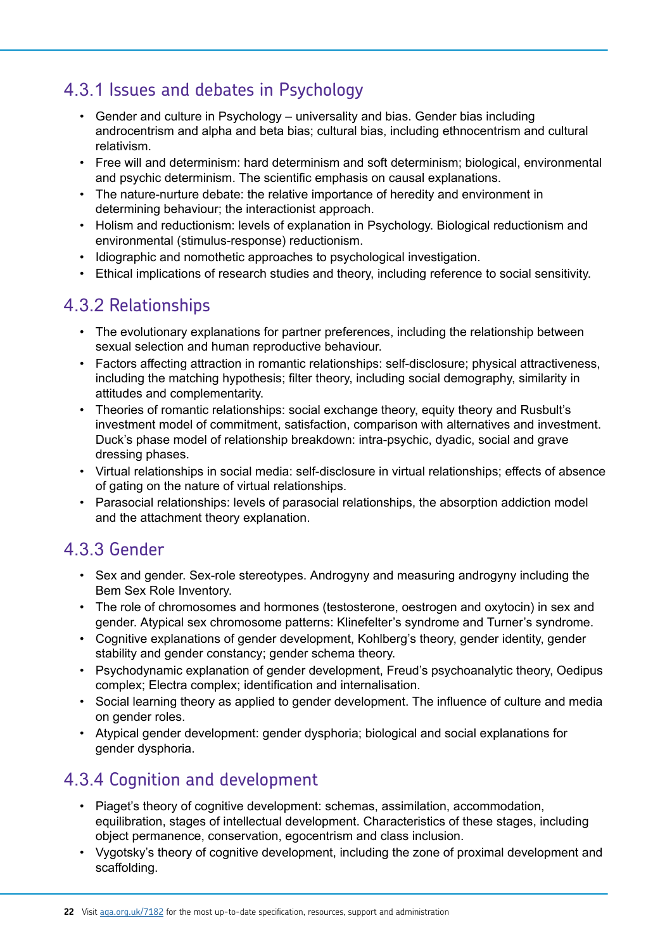## <span id="page-21-0"></span>4.3.1 Issues and debates in Psychology

- Gender and culture in Psychology universality and bias. Gender bias including androcentrism and alpha and beta bias; cultural bias, including ethnocentrism and cultural relativism.
- Free will and determinism: hard determinism and soft determinism; biological, environmental and psychic determinism. The scientific emphasis on causal explanations.
- The nature-nurture debate: the relative importance of heredity and environment in determining behaviour; the interactionist approach.
- Holism and reductionism: levels of explanation in Psychology. Biological reductionism and environmental (stimulus-response) reductionism.
- Idiographic and nomothetic approaches to psychological investigation.
- Ethical implications of research studies and theory, including reference to social sensitivity.

## 4.3.2 Relationships

- The evolutionary explanations for partner preferences, including the relationship between sexual selection and human reproductive behaviour.
- Factors affecting attraction in romantic relationships: self-disclosure; physical attractiveness, including the matching hypothesis; filter theory, including social demography, similarity in attitudes and complementarity.
- Theories of romantic relationships: social exchange theory, equity theory and Rusbult's investment model of commitment, satisfaction, comparison with alternatives and investment. Duck's phase model of relationship breakdown: intra-psychic, dyadic, social and grave dressing phases.
- Virtual relationships in social media: self-disclosure in virtual relationships; effects of absence of gating on the nature of virtual relationships.
- Parasocial relationships: levels of parasocial relationships, the absorption addiction model and the attachment theory explanation.

## 4.3.3 Gender

- Sex and gender. Sex-role stereotypes. Androgyny and measuring androgyny including the Bem Sex Role Inventory.
- The role of chromosomes and hormones (testosterone, oestrogen and oxytocin) in sex and gender. Atypical sex chromosome patterns: Klinefelter's syndrome and Turner's syndrome.
- Cognitive explanations of gender development, Kohlberg's theory, gender identity, gender stability and gender constancy; gender schema theory.
- Psychodynamic explanation of gender development, Freud's psychoanalytic theory, Oedipus complex; Electra complex; identification and internalisation.
- Social learning theory as applied to gender development. The influence of culture and media on gender roles.
- Atypical gender development: gender dysphoria; biological and social explanations for gender dysphoria.

## 4.3.4 Cognition and development

- Piaget's theory of cognitive development: schemas, assimilation, accommodation, equilibration, stages of intellectual development. Characteristics of these stages, including object permanence, conservation, egocentrism and class inclusion.
- Vygotsky's theory of cognitive development, including the zone of proximal development and scaffolding.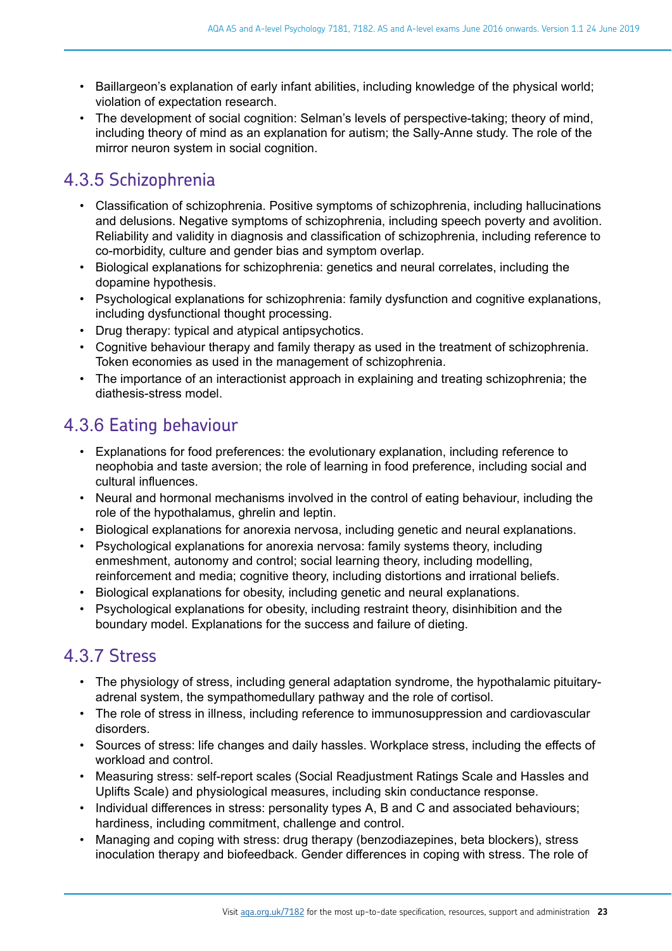- <span id="page-22-0"></span>• Baillargeon's explanation of early infant abilities, including knowledge of the physical world; violation of expectation research.
- The development of social cognition: Selman's levels of perspective-taking; theory of mind, including theory of mind as an explanation for autism; the Sally-Anne study. The role of the mirror neuron system in social cognition.

## 4.3.5 Schizophrenia

- Classification of schizophrenia. Positive symptoms of schizophrenia, including hallucinations and delusions. Negative symptoms of schizophrenia, including speech poverty and avolition. Reliability and validity in diagnosis and classification of schizophrenia, including reference to co-morbidity, culture and gender bias and symptom overlap.
- Biological explanations for schizophrenia: genetics and neural correlates, including the dopamine hypothesis.
- Psychological explanations for schizophrenia: family dysfunction and cognitive explanations, including dysfunctional thought processing.
- Drug therapy: typical and atypical antipsychotics.
- Cognitive behaviour therapy and family therapy as used in the treatment of schizophrenia. Token economies as used in the management of schizophrenia.
- The importance of an interactionist approach in explaining and treating schizophrenia; the diathesis-stress model.

## 4.3.6 Eating behaviour

- Explanations for food preferences: the evolutionary explanation, including reference to neophobia and taste aversion; the role of learning in food preference, including social and cultural influences.
- Neural and hormonal mechanisms involved in the control of eating behaviour, including the role of the hypothalamus, ghrelin and leptin.
- Biological explanations for anorexia nervosa, including genetic and neural explanations.
- Psychological explanations for anorexia nervosa: family systems theory, including enmeshment, autonomy and control; social learning theory, including modelling, reinforcement and media; cognitive theory, including distortions and irrational beliefs.
- Biological explanations for obesity, including genetic and neural explanations.
- Psychological explanations for obesity, including restraint theory, disinhibition and the boundary model. Explanations for the success and failure of dieting.

# 4.3.7 Stress

- The physiology of stress, including general adaptation syndrome, the hypothalamic pituitaryadrenal system, the sympathomedullary pathway and the role of cortisol.
- The role of stress in illness, including reference to immunosuppression and cardiovascular disorders.
- Sources of stress: life changes and daily hassles. Workplace stress, including the effects of workload and control.
- Measuring stress: self-report scales (Social Readjustment Ratings Scale and Hassles and Uplifts Scale) and physiological measures, including skin conductance response.
- Individual differences in stress: personality types A, B and C and associated behaviours; hardiness, including commitment, challenge and control.
- Managing and coping with stress: drug therapy (benzodiazepines, beta blockers), stress inoculation therapy and biofeedback. Gender differences in coping with stress. The role of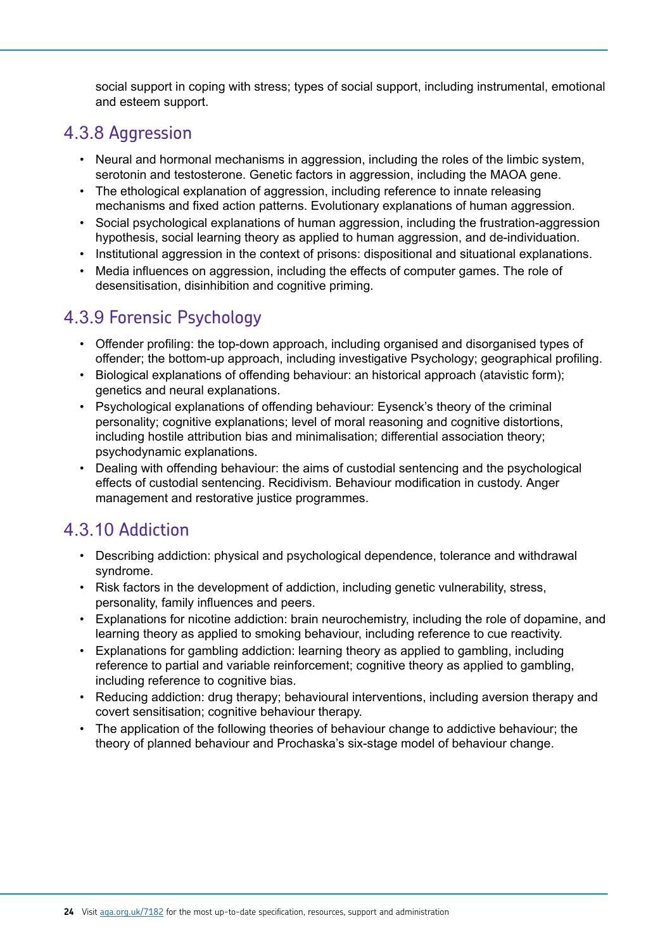<span id="page-23-0"></span>social support in coping with stress; types of social support, including instrumental, emotional and esteem support.

### 4.3.8 Aggression

- Neural and hormonal mechanisms in aggression, including the roles of the limbic system, serotonin and testosterone. Genetic factors in aggression, including the MAOA gene.
- The ethological explanation of aggression, including reference to innate releasing mechanisms and fixed action patterns. Evolutionary explanations of human aggression.
- Social psychological explanations of human aggression, including the frustration-aggression hypothesis, social learning theory as applied to human aggression, and de-individuation.
- Institutional aggression in the context of prisons: dispositional and situational explanations.
- Media influences on aggression, including the effects of computer games. The role of desensitisation, disinhibition and cognitive priming.

## 4.3.9 Forensic Psychology

- Offender profiling: the top-down approach, including organised and disorganised types of offender; the bottom-up approach, including investigative Psychology; geographical profiling.
- Biological explanations of offending behaviour: an historical approach (atavistic form); genetics and neural explanations.
- Psychological explanations of offending behaviour: Eysenck's theory of the criminal personality; cognitive explanations; level of moral reasoning and cognitive distortions, including hostile attribution bias and minimalisation; differential association theory; psychodynamic explanations.
- Dealing with offending behaviour: the aims of custodial sentencing and the psychological effects of custodial sentencing. Recidivism. Behaviour modification in custody. Anger management and restorative justice programmes.

## 4.3.10 Addiction

- Describing addiction: physical and psychological dependence, tolerance and withdrawal syndrome.
- Risk factors in the development of addiction, including genetic vulnerability, stress, personality, family influences and peers.
- Explanations for nicotine addiction: brain neurochemistry, including the role of dopamine, and learning theory as applied to smoking behaviour, including reference to cue reactivity.
- Explanations for gambling addiction: learning theory as applied to gambling, including reference to partial and variable reinforcement; cognitive theory as applied to gambling, including reference to cognitive bias.
- Reducing addiction: drug therapy; behavioural interventions, including aversion therapy and covert sensitisation; cognitive behaviour therapy.
- The application of the following theories of behaviour change to addictive behaviour; the theory of planned behaviour and Prochaska's six-stage model of behaviour change.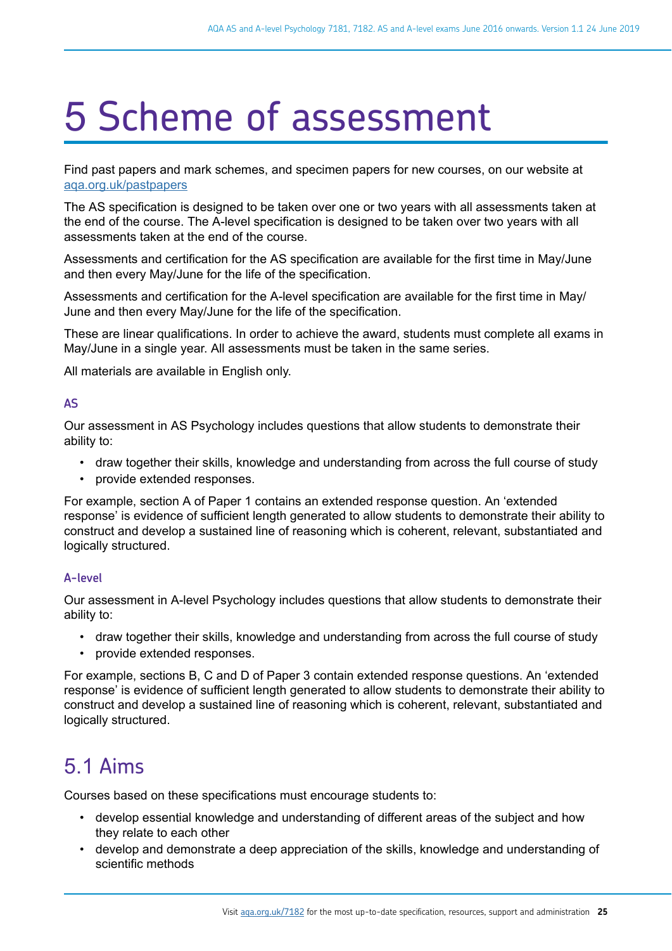# <span id="page-24-0"></span>5 Scheme of assessment

Find past papers and mark schemes, and specimen papers for new courses, on our website at [aqa.org.uk/pastpapers](http://www.aqa.org.uk/pastpapers)

The AS specification is designed to be taken over one or two years with all assessments taken at the end of the course. The A-level specification is designed to be taken over two years with all assessments taken at the end of the course.

Assessments and certification for the AS specification are available for the first time in May/June and then every May/June for the life of the specification.

Assessments and certification for the A-level specification are available for the first time in May/ June and then every May/June for the life of the specification.

These are linear qualifications. In order to achieve the award, students must complete all exams in May/June in a single year. All assessments must be taken in the same series.

All materials are available in English only.

#### **AS**

Our assessment in AS Psychology includes questions that allow students to demonstrate their ability to:

- draw together their skills, knowledge and understanding from across the full course of study
- provide extended responses.

For example, section A of Paper 1 contains an extended response question. An 'extended response' is evidence of sufficient length generated to allow students to demonstrate their ability to construct and develop a sustained line of reasoning which is coherent, relevant, substantiated and logically structured.

#### **A-level**

Our assessment in A-level Psychology includes questions that allow students to demonstrate their ability to:

- draw together their skills, knowledge and understanding from across the full course of study
- provide extended responses.

For example, sections B, C and D of Paper 3 contain extended response questions. An 'extended response' is evidence of sufficient length generated to allow students to demonstrate their ability to construct and develop a sustained line of reasoning which is coherent, relevant, substantiated and logically structured.

# 5.1 Aims

Courses based on these specifications must encourage students to:

- develop essential knowledge and understanding of different areas of the subject and how they relate to each other
- develop and demonstrate a deep appreciation of the skills, knowledge and understanding of scientific methods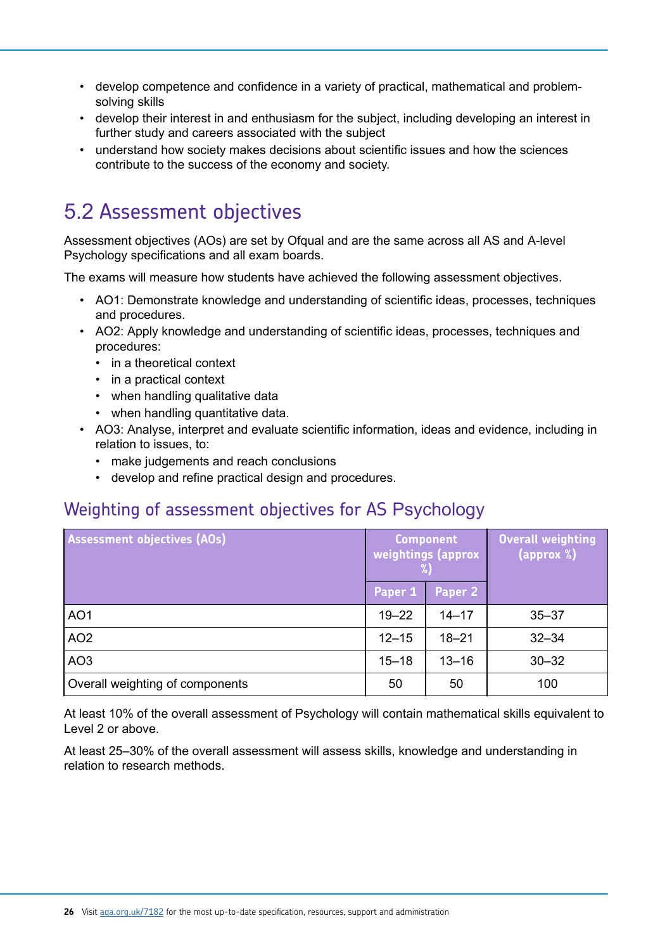- <span id="page-25-0"></span>• develop competence and confidence in a variety of practical, mathematical and problemsolving skills
- develop their interest in and enthusiasm for the subject, including developing an interest in further study and careers associated with the subject
- understand how society makes decisions about scientific issues and how the sciences contribute to the success of the economy and society.

# 5.2 Assessment objectives

Assessment objectives (AOs) are set by Ofqual and are the same across all AS and A-level Psychology specifications and all exam boards.

The exams will measure how students have achieved the following assessment objectives.

- AO1: Demonstrate knowledge and understanding of scientific ideas, processes, techniques and procedures.
- AO2: Apply knowledge and understanding of scientific ideas, processes, techniques and procedures:
	- in a theoretical context
	- in a practical context
	- when handling qualitative data
	- when handling quantitative data.
- AO3: Analyse, interpret and evaluate scientific information, ideas and evidence, including in relation to issues, to:
	- make judgements and reach conclusions
	- develop and refine practical design and procedures.

### Weighting of assessment objectives for AS Psychology

| Assessment objectives (AOs)     | <b>Component</b><br>weightings (approx |           | <b>Overall weighting</b><br>(approx %) |
|---------------------------------|----------------------------------------|-----------|----------------------------------------|
|                                 | Paper 1                                | Paper 2   |                                        |
| AO <sub>1</sub>                 | $19 - 22$                              | $14 - 17$ | $35 - 37$                              |
| AO <sub>2</sub>                 | $12 - 15$                              | $18 - 21$ | $32 - 34$                              |
| AO <sub>3</sub>                 | $15 - 18$                              | $13 - 16$ | $30 - 32$                              |
| Overall weighting of components | 50                                     | 50        | 100                                    |

At least 10% of the overall assessment of Psychology will contain mathematical skills equivalent to Level 2 or above.

At least 25–30% of the overall assessment will assess skills, knowledge and understanding in relation to research methods.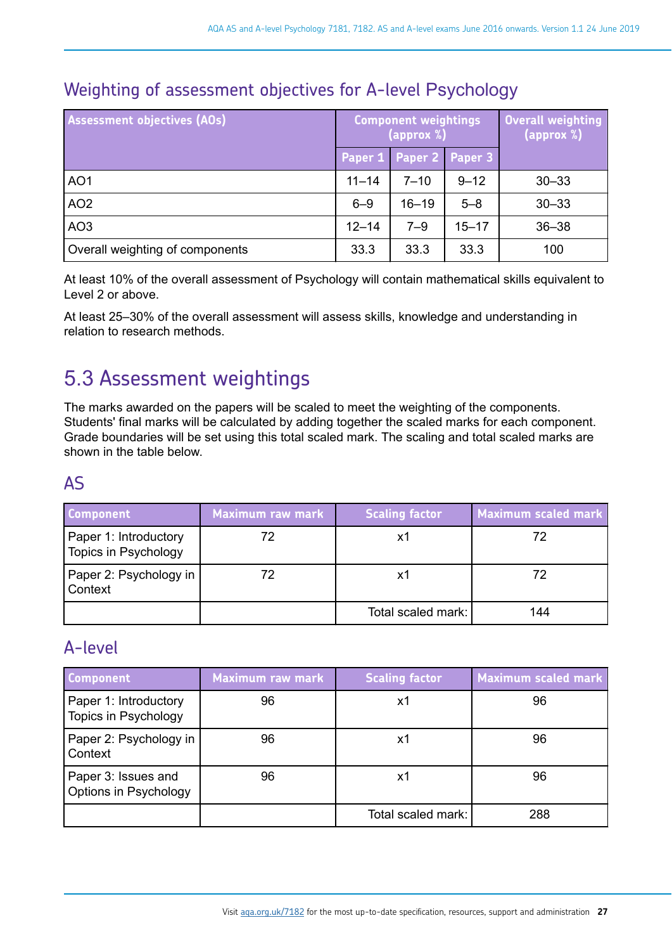# <span id="page-26-0"></span>Weighting of assessment objectives for A-level Psychology

| <b>Assessment objectives (AOs)</b> | <b>Component weightings</b><br>(approx %) |                         | <b>Overall weighting</b><br>(approx %) |           |
|------------------------------------|-------------------------------------------|-------------------------|----------------------------------------|-----------|
|                                    |                                           | Paper 1 Paper 2 Paper 3 |                                        |           |
| AO <sub>1</sub>                    | $11 - 14$                                 | $7 - 10$                | $9 - 12$                               | $30 - 33$ |
| AO <sub>2</sub>                    | $6 - 9$                                   | $16 - 19$               | $5 - 8$                                | $30 - 33$ |
| AO <sub>3</sub>                    | $12 - 14$                                 | $7 - 9$                 | $15 - 17$                              | $36 - 38$ |
| Overall weighting of components    | 33.3                                      | 33.3                    | 33.3                                   | 100       |

At least 10% of the overall assessment of Psychology will contain mathematical skills equivalent to Level 2 or above.

At least 25–30% of the overall assessment will assess skills, knowledge and understanding in relation to research methods.

# 5.3 Assessment weightings

The marks awarded on the papers will be scaled to meet the weighting of the components. Students' final marks will be calculated by adding together the scaled marks for each component. Grade boundaries will be set using this total scaled mark. The scaling and total scaled marks are shown in the table below.

## AS

| <b>Component</b>                              | <b>Maximum raw mark</b> | <b>Scaling factor</b> | <b>Maximum scaled mark</b> |
|-----------------------------------------------|-------------------------|-----------------------|----------------------------|
| Paper 1: Introductory<br>Topics in Psychology | 72                      | x.                    | 72                         |
| Paper 2: Psychology in<br>Context             | 72                      | x'                    | 72                         |
|                                               |                         | Total scaled mark:    | 144                        |

## A-level

| <b>Component</b>                                     | <b>Maximum raw mark</b> | <b>Scaling factor</b> | Maximum scaled mark |
|------------------------------------------------------|-------------------------|-----------------------|---------------------|
| Paper 1: Introductory<br><b>Topics in Psychology</b> | 96                      | x1                    | 96                  |
| Paper 2: Psychology in<br>Context                    | 96                      | X1                    | 96                  |
| Paper 3: Issues and<br>Options in Psychology         | 96                      | X1                    | 96                  |
|                                                      |                         | Total scaled mark:    | 288                 |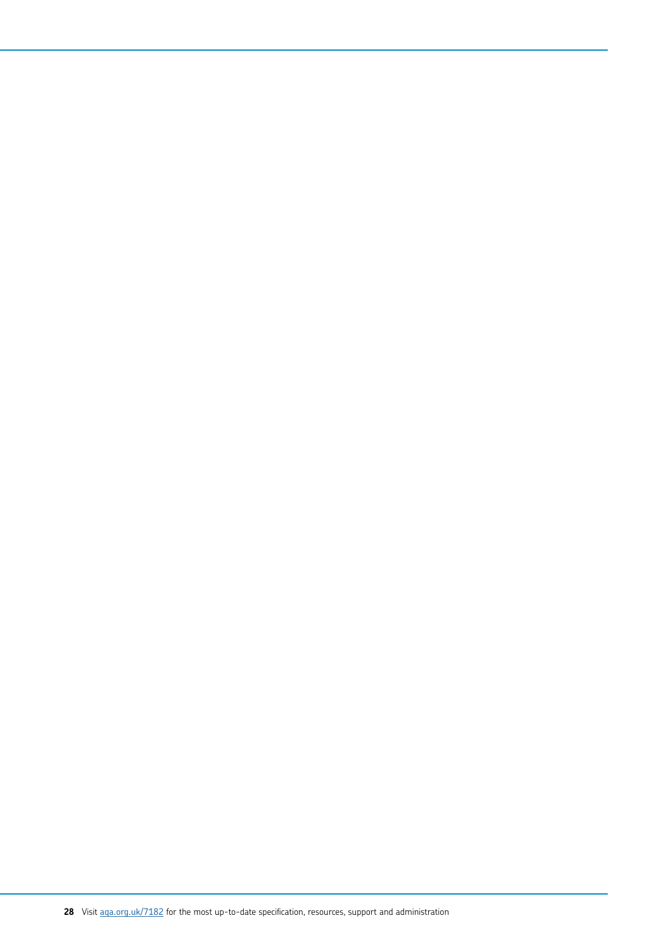28 Visit aga.org.uk/7182 for the most up-to-date specification, resources, support and administration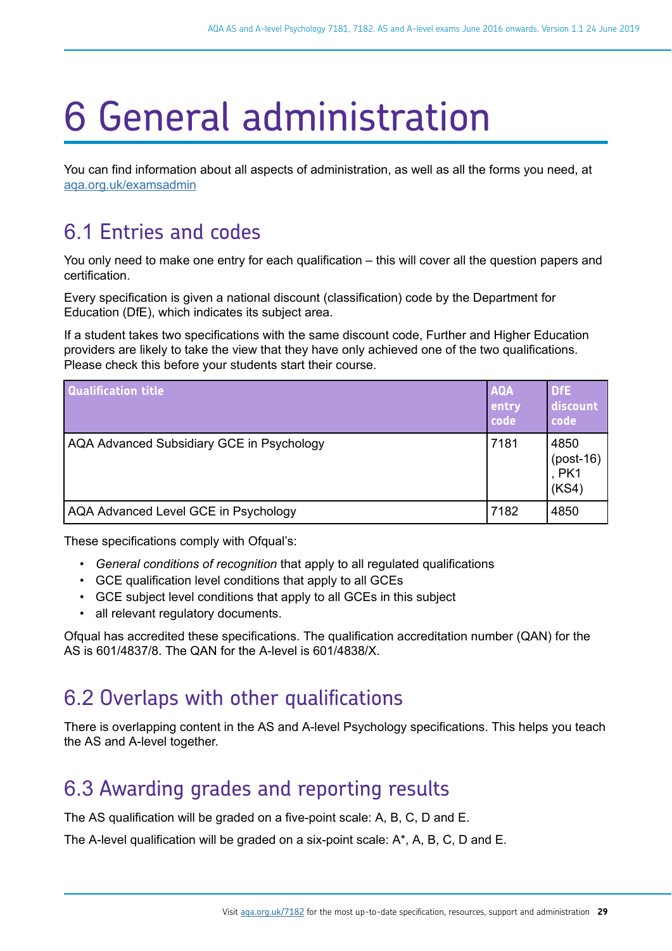# <span id="page-28-0"></span>6 General administration

You can find information about all aspects of administration, as well as all the forms you need, at [aqa.org.uk/examsadmin](http://aqa.org.uk/examsadmin)

# 6.1 Entries and codes

You only need to make one entry for each qualification – this will cover all the question papers and certification.

Every specification is given a national discount (classification) code by the Department for Education (DfE), which indicates its subject area.

If a student takes two specifications with the same discount code, Further and Higher Education providers are likely to take the view that they have only achieved one of the two qualifications. Please check this before your students start their course.

| <b>Qualification title</b>                | <b>AQA</b><br>entry<br>code | D <sub>fE</sub><br>discount<br>code   |
|-------------------------------------------|-----------------------------|---------------------------------------|
| AQA Advanced Subsidiary GCE in Psychology | 7181                        | 4850<br>$-post-16)$<br>, PK1<br>(KS4) |
| AQA Advanced Level GCE in Psychology      | 7182                        | 4850                                  |

These specifications comply with Ofqual's:

- *General conditions of recognition* that apply to all regulated qualifications
- GCE qualification level conditions that apply to all GCEs
- GCE subject level conditions that apply to all GCEs in this subject
- all relevant regulatory documents.

Ofqual has accredited these specifications. The qualification accreditation number (QAN) for the AS is 601/4837/8. The QAN for the A-level is 601/4838/X.

# 6.2 Overlaps with other qualifications

There is overlapping content in the AS and A-level Psychology specifications. This helps you teach the AS and A-level together.

# 6.3 Awarding grades and reporting results

The AS qualification will be graded on a five-point scale: A, B, C, D and E.

The A-level qualification will be graded on a six-point scale: A\*, A, B, C, D and E.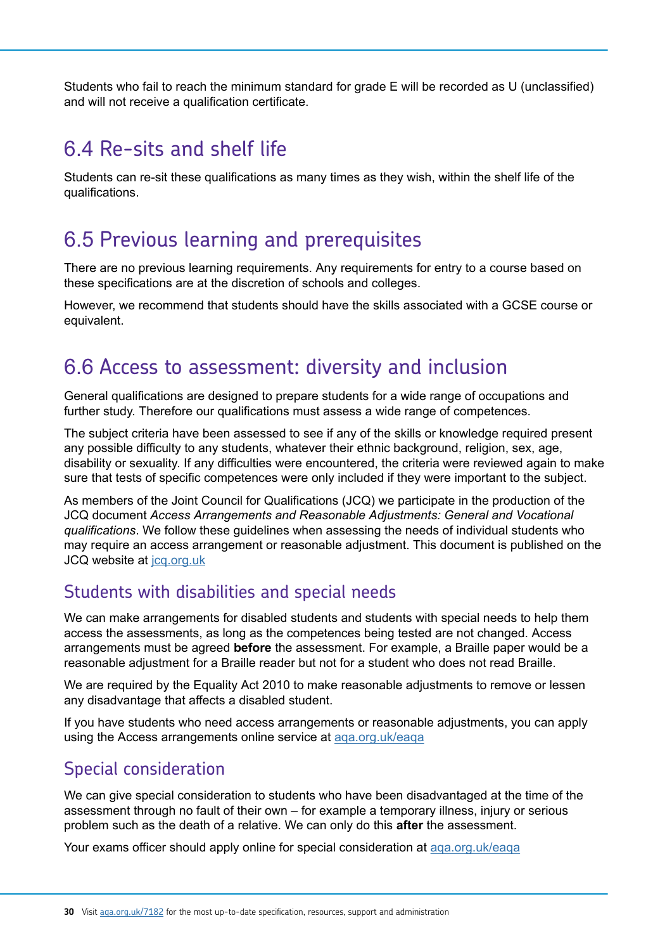<span id="page-29-0"></span>Students who fail to reach the minimum standard for grade E will be recorded as U (unclassified) and will not receive a qualification certificate.

# 6.4 Re-sits and shelf life

Students can re-sit these qualifications as many times as they wish, within the shelf life of the qualifications.

# 6.5 Previous learning and prerequisites

There are no previous learning requirements. Any requirements for entry to a course based on these specifications are at the discretion of schools and colleges.

However, we recommend that students should have the skills associated with a GCSE course or equivalent.

# 6.6 Access to assessment: diversity and inclusion

General qualifications are designed to prepare students for a wide range of occupations and further study. Therefore our qualifications must assess a wide range of competences.

The subject criteria have been assessed to see if any of the skills or knowledge required present any possible difficulty to any students, whatever their ethnic background, religion, sex, age, disability or sexuality. If any difficulties were encountered, the criteria were reviewed again to make sure that tests of specific competences were only included if they were important to the subject.

As members of the Joint Council for Qualifications (JCQ) we participate in the production of the JCQ document *Access Arrangements and Reasonable Adjustments: General and Vocational qualifications*. We follow these guidelines when assessing the needs of individual students who may require an access arrangement or reasonable adjustment. This document is published on the JCQ website at [jcq.org.uk](http://www.jcq.org.uk/)

### Students with disabilities and special needs

We can make arrangements for disabled students and students with special needs to help them access the assessments, as long as the competences being tested are not changed. Access arrangements must be agreed **before** the assessment. For example, a Braille paper would be a reasonable adjustment for a Braille reader but not for a student who does not read Braille.

We are required by the Equality Act 2010 to make reasonable adjustments to remove or lessen any disadvantage that affects a disabled student.

If you have students who need access arrangements or reasonable adjustments, you can apply using the Access arrangements online service at [aqa.org.uk/eaqa](http://www.aqa.org.uk/eaqa)

### Special consideration

We can give special consideration to students who have been disadvantaged at the time of the assessment through no fault of their own – for example a temporary illness, injury or serious problem such as the death of a relative. We can only do this **after** the assessment.

Your exams officer should apply online for special consideration at [aqa.org.uk/eaqa](http://www.aqa.org.uk/eaqa)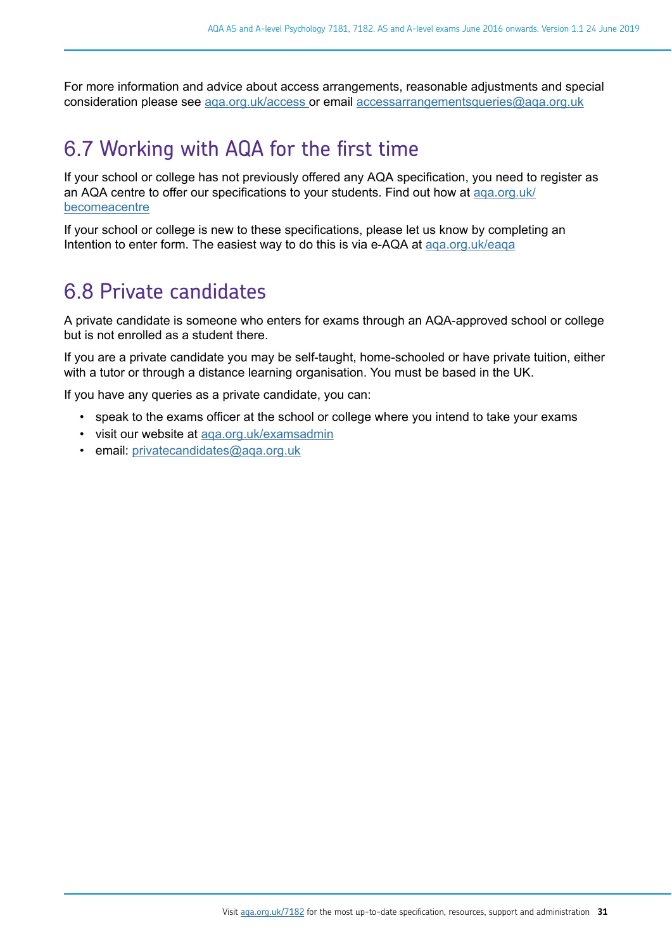<span id="page-30-0"></span>For more information and advice about access arrangements, reasonable adjustments and special consideration please see [aqa.org.uk/access o](http://www.aqa.org.uk/exams-administration/access-arrangements)r email [accessarrangementsqueries@aqa.org.uk](mailto:accessarrangementsqueries@aqa.org.uk)

# 6.7 Working with AQA for the first time

If your school or college has not previously offered any AQA specification, you need to register as an AQA centre to offer our specifications to your students. Find out how at [aqa.org.uk/](http://www.aqa.org.uk/becomeacentre) [becomeacentre](http://www.aqa.org.uk/becomeacentre)

If your school or college is new to these specifications, please let us know by completing an Intention to enter form. The easiest way to do this is via e-AQA at [aqa.org.uk/eaqa](http://www.aqa.org.uk/eaqa)

# 6.8 Private candidates

A private candidate is someone who enters for exams through an AQA-approved school or college but is not enrolled as a student there.

If you are a private candidate you may be self-taught, home-schooled or have private tuition, either with a tutor or through a distance learning organisation. You must be based in the UK.

If you have any queries as a private candidate, you can:

- speak to the exams officer at the school or college where you intend to take your exams
- visit our website at [aqa.org.uk/examsadmin](http://www.aqa.org.uk/examsadmin)
- email: [privatecandidates@aqa.org.uk](mailto:privatecandidates@aqa.org.uk)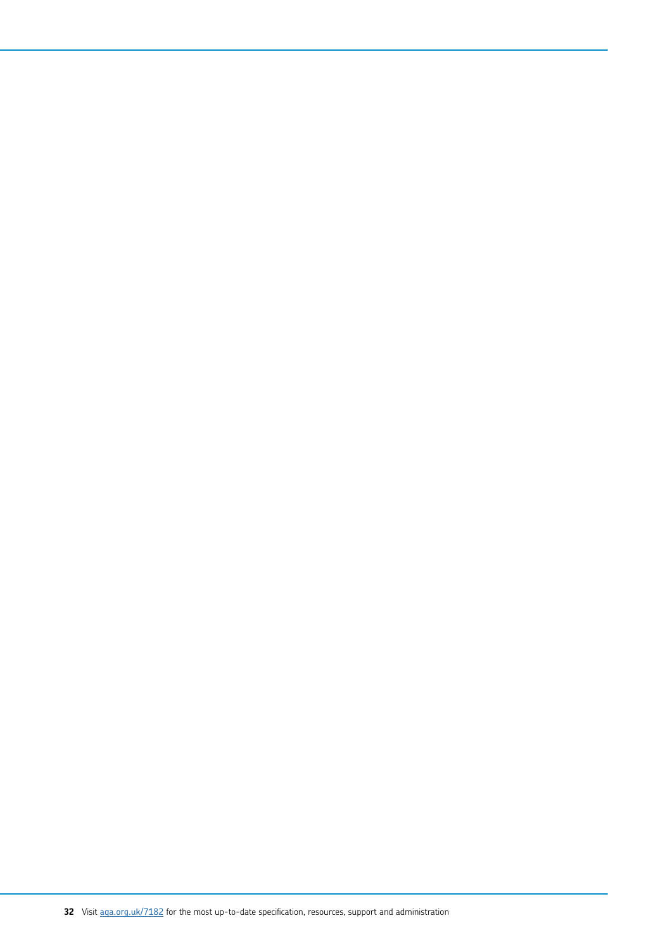Visit aga.org.uk/7182 for the most up-to-date specification, resources, support and administration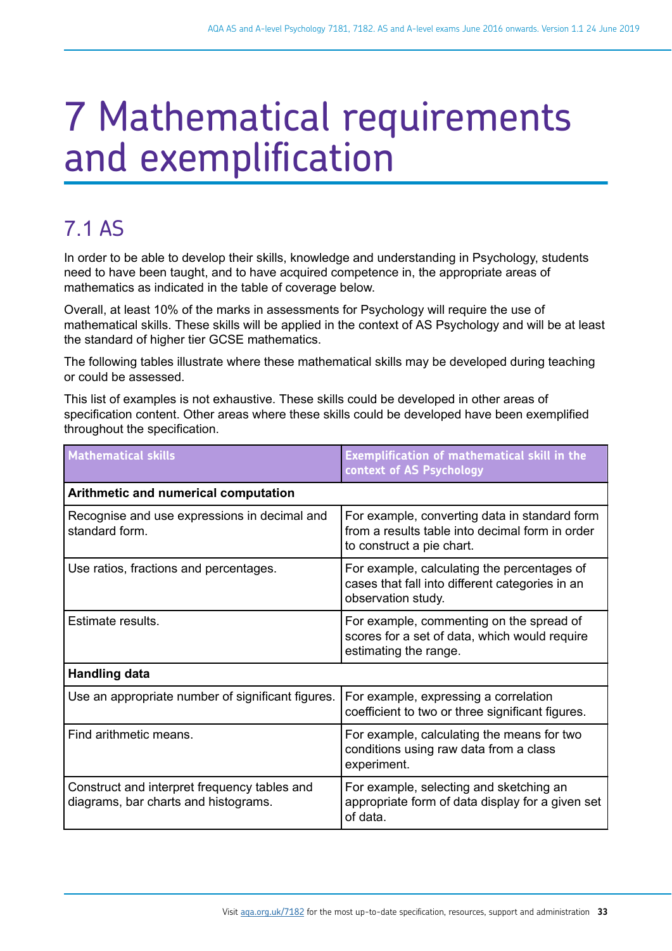# <span id="page-32-0"></span>7 Mathematical requirements and exemplification

# 7.1 AS

In order to be able to develop their skills, knowledge and understanding in Psychology, students need to have been taught, and to have acquired competence in, the appropriate areas of mathematics as indicated in the table of coverage below.

Overall, at least 10% of the marks in assessments for Psychology will require the use of mathematical skills. These skills will be applied in the context of AS Psychology and will be at least the standard of higher tier GCSE mathematics.

The following tables illustrate where these mathematical skills may be developed during teaching or could be assessed.

This list of examples is not exhaustive. These skills could be developed in other areas of specification content. Other areas where these skills could be developed have been exemplified throughout the specification.

| <b>Mathematical skills</b>                                                           | Exemplification of mathematical skill in the<br>context of AS Psychology                                                      |  |
|--------------------------------------------------------------------------------------|-------------------------------------------------------------------------------------------------------------------------------|--|
| Arithmetic and numerical computation                                                 |                                                                                                                               |  |
| Recognise and use expressions in decimal and<br>standard form.                       | For example, converting data in standard form<br>from a results table into decimal form in order<br>to construct a pie chart. |  |
| Use ratios, fractions and percentages.                                               | For example, calculating the percentages of<br>cases that fall into different categories in an<br>observation study.          |  |
| Estimate results.                                                                    | For example, commenting on the spread of<br>scores for a set of data, which would require<br>estimating the range.            |  |
| <b>Handling data</b>                                                                 |                                                                                                                               |  |
| Use an appropriate number of significant figures.                                    | For example, expressing a correlation<br>coefficient to two or three significant figures.                                     |  |
| Find arithmetic means.                                                               | For example, calculating the means for two<br>conditions using raw data from a class<br>experiment.                           |  |
| Construct and interpret frequency tables and<br>diagrams, bar charts and histograms. | For example, selecting and sketching an<br>appropriate form of data display for a given set<br>of data.                       |  |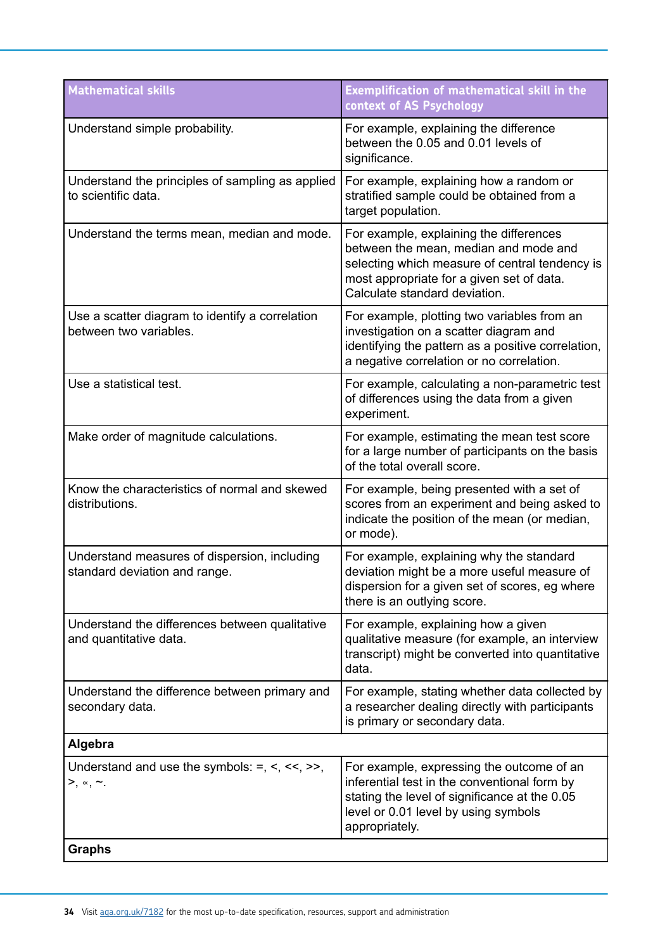| <b>Mathematical skills</b>                                                                    | <b>Exemplification of mathematical skill in the</b><br>context of AS Psychology                                                                                                                                  |
|-----------------------------------------------------------------------------------------------|------------------------------------------------------------------------------------------------------------------------------------------------------------------------------------------------------------------|
| Understand simple probability.                                                                | For example, explaining the difference<br>between the 0.05 and 0.01 levels of<br>significance.                                                                                                                   |
| Understand the principles of sampling as applied<br>to scientific data.                       | For example, explaining how a random or<br>stratified sample could be obtained from a<br>target population.                                                                                                      |
| Understand the terms mean, median and mode.                                                   | For example, explaining the differences<br>between the mean, median and mode and<br>selecting which measure of central tendency is<br>most appropriate for a given set of data.<br>Calculate standard deviation. |
| Use a scatter diagram to identify a correlation<br>between two variables.                     | For example, plotting two variables from an<br>investigation on a scatter diagram and<br>identifying the pattern as a positive correlation,<br>a negative correlation or no correlation.                         |
| Use a statistical test.                                                                       | For example, calculating a non-parametric test<br>of differences using the data from a given<br>experiment.                                                                                                      |
| Make order of magnitude calculations.                                                         | For example, estimating the mean test score<br>for a large number of participants on the basis<br>of the total overall score.                                                                                    |
| Know the characteristics of normal and skewed<br>distributions.                               | For example, being presented with a set of<br>scores from an experiment and being asked to<br>indicate the position of the mean (or median,<br>or mode).                                                         |
| Understand measures of dispersion, including<br>standard deviation and range.                 | For example, explaining why the standard<br>deviation might be a more useful measure of<br>dispersion for a given set of scores, eg where<br>there is an outlying score.                                         |
| Understand the differences between qualitative<br>and quantitative data.                      | For example, explaining how a given<br>qualitative measure (for example, an interview<br>transcript) might be converted into quantitative<br>data.                                                               |
| Understand the difference between primary and<br>secondary data.                              | For example, stating whether data collected by<br>a researcher dealing directly with participants<br>is primary or secondary data.                                                                               |
| Algebra                                                                                       |                                                                                                                                                                                                                  |
| Understand and use the symbols: $=$ , $\leq$ , $\leq$ , $\geq$ ,<br>$>$ , $\alpha$ , $\sim$ . | For example, expressing the outcome of an<br>inferential test in the conventional form by<br>stating the level of significance at the 0.05<br>level or 0.01 level by using symbols<br>appropriately.             |
| <b>Graphs</b>                                                                                 |                                                                                                                                                                                                                  |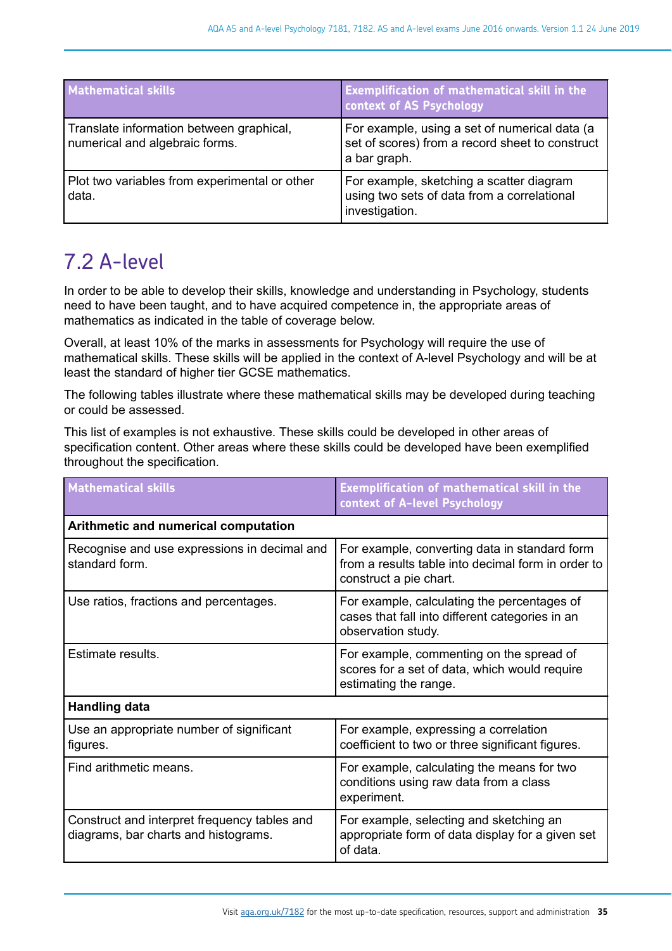<span id="page-34-0"></span>

| <b>Mathematical skills</b>                                                 | <b>Exemplification of mathematical skill in the</b><br>context of AS Psychology                                  |
|----------------------------------------------------------------------------|------------------------------------------------------------------------------------------------------------------|
| Translate information between graphical,<br>numerical and algebraic forms. | For example, using a set of numerical data (a<br>set of scores) from a record sheet to construct<br>a bar graph. |
| Plot two variables from experimental or other<br>data.                     | For example, sketching a scatter diagram<br>using two sets of data from a correlational<br>investigation.        |

# 7.2 A-level

In order to be able to develop their skills, knowledge and understanding in Psychology, students need to have been taught, and to have acquired competence in, the appropriate areas of mathematics as indicated in the table of coverage below.

Overall, at least 10% of the marks in assessments for Psychology will require the use of mathematical skills. These skills will be applied in the context of A-level Psychology and will be at least the standard of higher tier GCSE mathematics.

The following tables illustrate where these mathematical skills may be developed during teaching or could be assessed.

This list of examples is not exhaustive. These skills could be developed in other areas of specification content. Other areas where these skills could be developed have been exemplified throughout the specification.

| <b>Mathematical skills</b>                                                           | <b>Exemplification of mathematical skill in the</b><br>context of A-level Psychology                                          |  |
|--------------------------------------------------------------------------------------|-------------------------------------------------------------------------------------------------------------------------------|--|
| Arithmetic and numerical computation                                                 |                                                                                                                               |  |
| Recognise and use expressions in decimal and<br>standard form.                       | For example, converting data in standard form<br>from a results table into decimal form in order to<br>construct a pie chart. |  |
| Use ratios, fractions and percentages.                                               | For example, calculating the percentages of<br>cases that fall into different categories in an<br>observation study.          |  |
| Estimate results.                                                                    | For example, commenting on the spread of<br>scores for a set of data, which would require<br>estimating the range.            |  |
| <b>Handling data</b>                                                                 |                                                                                                                               |  |
| Use an appropriate number of significant<br>figures.                                 | For example, expressing a correlation<br>coefficient to two or three significant figures.                                     |  |
| Find arithmetic means.                                                               | For example, calculating the means for two<br>conditions using raw data from a class<br>experiment.                           |  |
| Construct and interpret frequency tables and<br>diagrams, bar charts and histograms. | For example, selecting and sketching an<br>appropriate form of data display for a given set<br>of data.                       |  |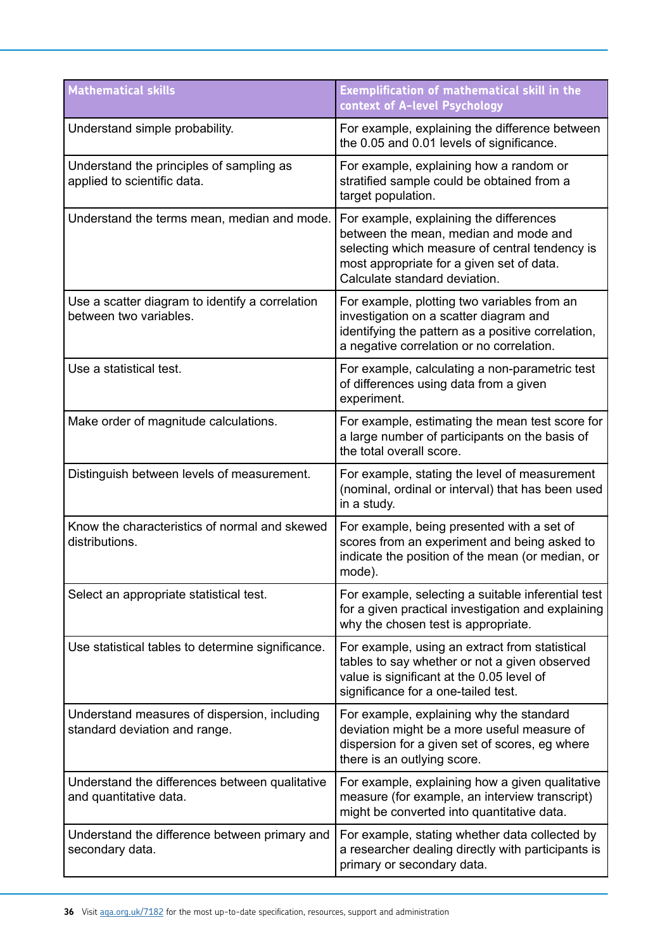| <b>Mathematical skills</b>                                                    | <b>Exemplification of mathematical skill in the</b><br>context of A-level Psychology                                                                                                                             |
|-------------------------------------------------------------------------------|------------------------------------------------------------------------------------------------------------------------------------------------------------------------------------------------------------------|
| Understand simple probability.                                                | For example, explaining the difference between<br>the 0.05 and 0.01 levels of significance.                                                                                                                      |
| Understand the principles of sampling as<br>applied to scientific data.       | For example, explaining how a random or<br>stratified sample could be obtained from a<br>target population.                                                                                                      |
| Understand the terms mean, median and mode.                                   | For example, explaining the differences<br>between the mean, median and mode and<br>selecting which measure of central tendency is<br>most appropriate for a given set of data.<br>Calculate standard deviation. |
| Use a scatter diagram to identify a correlation<br>between two variables.     | For example, plotting two variables from an<br>investigation on a scatter diagram and<br>identifying the pattern as a positive correlation,<br>a negative correlation or no correlation.                         |
| Use a statistical test.                                                       | For example, calculating a non-parametric test<br>of differences using data from a given<br>experiment.                                                                                                          |
| Make order of magnitude calculations.                                         | For example, estimating the mean test score for<br>a large number of participants on the basis of<br>the total overall score.                                                                                    |
| Distinguish between levels of measurement.                                    | For example, stating the level of measurement<br>(nominal, ordinal or interval) that has been used<br>in a study.                                                                                                |
| Know the characteristics of normal and skewed<br>distributions.               | For example, being presented with a set of<br>scores from an experiment and being asked to<br>indicate the position of the mean (or median, or<br>mode).                                                         |
| Select an appropriate statistical test.                                       | For example, selecting a suitable inferential test<br>for a given practical investigation and explaining<br>why the chosen test is appropriate.                                                                  |
| Use statistical tables to determine significance.                             | For example, using an extract from statistical<br>tables to say whether or not a given observed<br>value is significant at the 0.05 level of<br>significance for a one-tailed test.                              |
| Understand measures of dispersion, including<br>standard deviation and range. | For example, explaining why the standard<br>deviation might be a more useful measure of<br>dispersion for a given set of scores, eg where<br>there is an outlying score.                                         |
| Understand the differences between qualitative<br>and quantitative data.      | For example, explaining how a given qualitative<br>measure (for example, an interview transcript)<br>might be converted into quantitative data.                                                                  |
| Understand the difference between primary and<br>secondary data.              | For example, stating whether data collected by<br>a researcher dealing directly with participants is<br>primary or secondary data.                                                                               |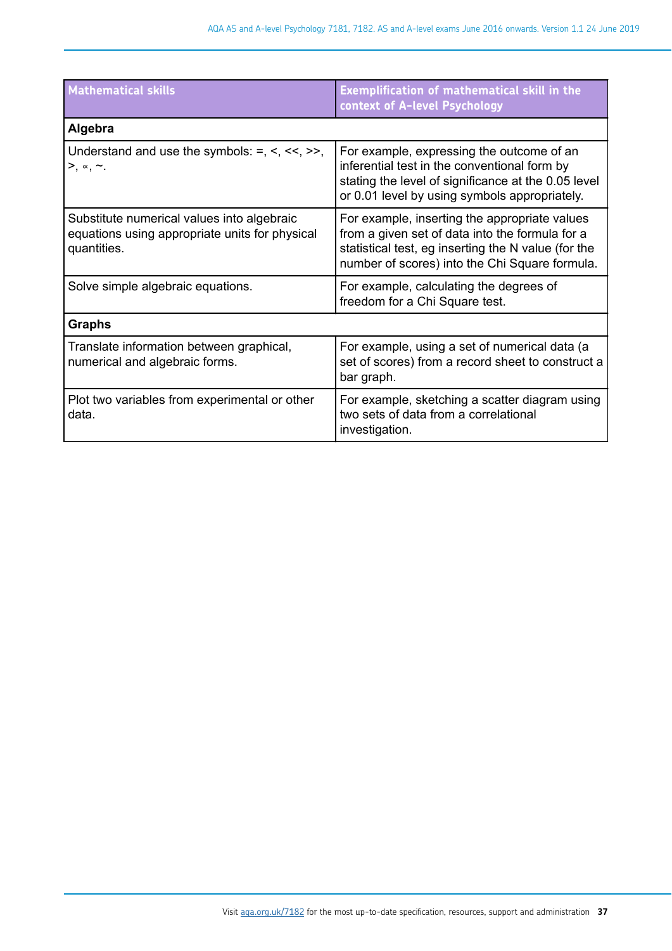| <b>Mathematical skills</b>                                                                                  | <b>Exemplification of mathematical skill in the</b><br>context of A-level Psychology                                                                                                                      |  |
|-------------------------------------------------------------------------------------------------------------|-----------------------------------------------------------------------------------------------------------------------------------------------------------------------------------------------------------|--|
| Algebra                                                                                                     |                                                                                                                                                                                                           |  |
| Understand and use the symbols: $=$ , $\lt$ , $\lt$ , $\gt$ ,<br>$>$ , $\alpha$ , $\sim$ .                  | For example, expressing the outcome of an<br>inferential test in the conventional form by<br>stating the level of significance at the 0.05 level<br>or 0.01 level by using symbols appropriately.         |  |
| Substitute numerical values into algebraic<br>equations using appropriate units for physical<br>quantities. | For example, inserting the appropriate values<br>from a given set of data into the formula for a<br>statistical test, eg inserting the N value (for the<br>number of scores) into the Chi Square formula. |  |
| Solve simple algebraic equations.                                                                           | For example, calculating the degrees of<br>freedom for a Chi Square test.                                                                                                                                 |  |
| Graphs                                                                                                      |                                                                                                                                                                                                           |  |
| Translate information between graphical,<br>numerical and algebraic forms.                                  | For example, using a set of numerical data (a<br>set of scores) from a record sheet to construct a<br>bar graph.                                                                                          |  |
| Plot two variables from experimental or other<br>data.                                                      | For example, sketching a scatter diagram using<br>two sets of data from a correlational<br>investigation.                                                                                                 |  |